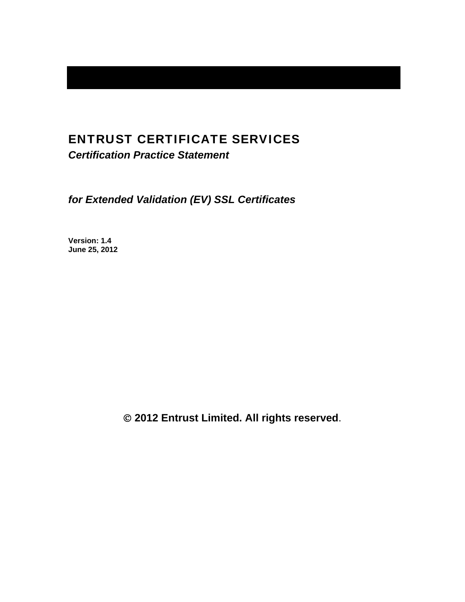# ENTRUST CERTIFICATE SERVICES

*Certification Practice Statement* 

*for Extended Validation (EV) SSL Certificates* 

**Version: 1.4 June 25, 2012** 

 **2012 Entrust Limited. All rights reserved**.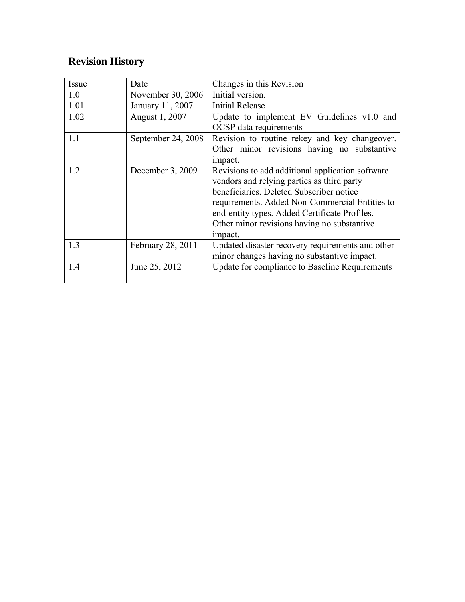# **Revision History**

| Issue | Date               | Changes in this Revision                                                                                                                                                                                                                                                                                |
|-------|--------------------|---------------------------------------------------------------------------------------------------------------------------------------------------------------------------------------------------------------------------------------------------------------------------------------------------------|
| 1.0   | November 30, 2006  | Initial version.                                                                                                                                                                                                                                                                                        |
| 1.01  | January 11, 2007   | <b>Initial Release</b>                                                                                                                                                                                                                                                                                  |
| 1.02  | August 1, 2007     | Update to implement EV Guidelines v1.0 and<br><b>OCSP</b> data requirements                                                                                                                                                                                                                             |
| 1.1   | September 24, 2008 | Revision to routine rekey and key changeover.<br>Other minor revisions having no substantive<br>impact.                                                                                                                                                                                                 |
| 1.2   | December 3, 2009   | Revisions to add additional application software<br>vendors and relying parties as third party<br>beneficiaries. Deleted Subscriber notice<br>requirements. Added Non-Commercial Entities to<br>end-entity types. Added Certificate Profiles.<br>Other minor revisions having no substantive<br>impact. |
| 1.3   | February 28, 2011  | Updated disaster recovery requirements and other<br>minor changes having no substantive impact.                                                                                                                                                                                                         |
| 1.4   | June 25, 2012      | Update for compliance to Baseline Requirements                                                                                                                                                                                                                                                          |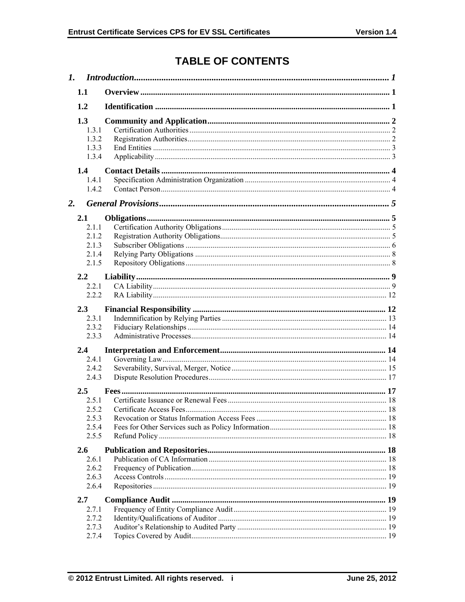# **TABLE OF CONTENTS**

| $\mathbf{I}$ . |                                                |  |
|----------------|------------------------------------------------|--|
|                | 1.1                                            |  |
|                | 1.2                                            |  |
|                | 1.3<br>1.3.1<br>1.3.2<br>1.3.3<br>1.3.4        |  |
|                | 1.4<br>1.4.1<br>1.4.2                          |  |
| 2.             |                                                |  |
|                | 2.1<br>2.1.1<br>212<br>2.1.3<br>2.1.4<br>2.1.5 |  |
|                | 2.2<br>2.2.1                                   |  |
|                | 2.2.2                                          |  |
|                | 2.3<br>2.3.1<br>2.3.2<br>2.3.3                 |  |
|                | 2.4                                            |  |
|                | 2.4.1<br>2.4.2<br>2.4.3                        |  |
|                | $2.5^{\circ}$<br>2.51                          |  |
|                | 2.5.2                                          |  |
|                | 2.5.3<br>2.5.4<br>2.5.5                        |  |
|                | 2.6                                            |  |
|                | 2.6.1<br>2.6.2                                 |  |
|                | 2.6.3<br>2.6.4                                 |  |
|                | 2.7                                            |  |
|                | 2.7.1<br>2.7.2                                 |  |
|                | 2.7.3                                          |  |
|                | 2.7.4                                          |  |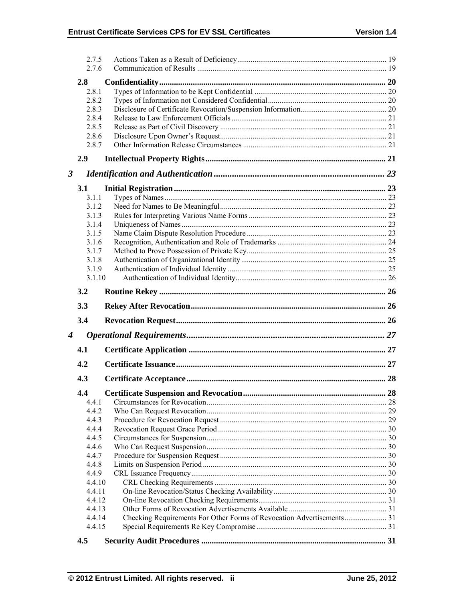|                  | 2.7.5<br>2.7.6 |                                                                       |  |
|------------------|----------------|-----------------------------------------------------------------------|--|
|                  | 2.8            |                                                                       |  |
|                  | 2.8.1          |                                                                       |  |
|                  | 2.8.2          |                                                                       |  |
|                  | 2.8.3          |                                                                       |  |
|                  | 2.8.4          |                                                                       |  |
|                  | 2.8.5          |                                                                       |  |
|                  | 2.8.6          |                                                                       |  |
|                  | 2.8.7          |                                                                       |  |
|                  | 2.9            |                                                                       |  |
| 3                |                |                                                                       |  |
|                  | 3.1            |                                                                       |  |
|                  | 3.1.1          |                                                                       |  |
|                  | 3.1.2          |                                                                       |  |
|                  | 3.1.3          |                                                                       |  |
|                  | 3.1.4          |                                                                       |  |
|                  | 3.1.5          |                                                                       |  |
|                  | 3.1.6          |                                                                       |  |
|                  | 3.1.7          |                                                                       |  |
|                  | 3.1.8          |                                                                       |  |
|                  | 3.1.9          |                                                                       |  |
|                  | 3.1.10         |                                                                       |  |
|                  | 3.2            |                                                                       |  |
|                  |                |                                                                       |  |
|                  | 3.3            |                                                                       |  |
|                  | 3.4            |                                                                       |  |
| $\boldsymbol{4}$ |                |                                                                       |  |
|                  | 4.1            |                                                                       |  |
|                  | 4.2            |                                                                       |  |
|                  | 4.3            |                                                                       |  |
|                  |                |                                                                       |  |
|                  | 4.4            |                                                                       |  |
|                  | 4.4.1          |                                                                       |  |
|                  | 4.4.2          |                                                                       |  |
|                  | 4.4.3          |                                                                       |  |
|                  | 4.4.4          |                                                                       |  |
|                  | 4.4.5          |                                                                       |  |
|                  | 4.4.6<br>4.4.7 |                                                                       |  |
|                  | 4.4.8          |                                                                       |  |
|                  | 4.4.9          |                                                                       |  |
|                  | 4.4.10         |                                                                       |  |
|                  | 4.4.11         |                                                                       |  |
|                  | 4.4.12         |                                                                       |  |
|                  | 4.4.13         |                                                                       |  |
|                  | 4.4.14         | Checking Requirements For Other Forms of Revocation Advertisements 31 |  |
|                  | 4.4.15         |                                                                       |  |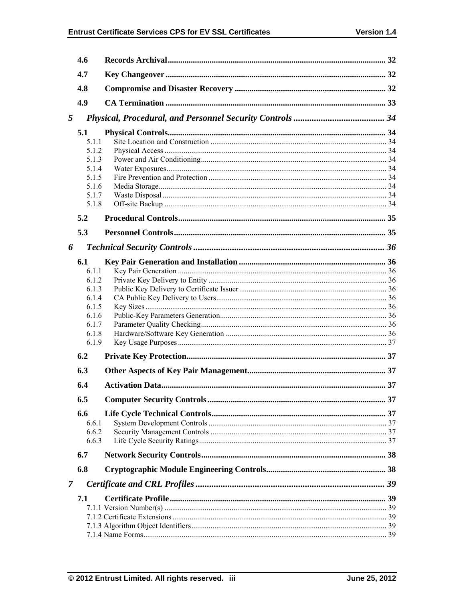|   | 4.6            |  |
|---|----------------|--|
|   | 4.7            |  |
|   | 4.8            |  |
|   | 4.9            |  |
| 5 |                |  |
|   | 5.1            |  |
|   | 5.1.1          |  |
|   | 5.1.2          |  |
|   | 5.1.3          |  |
|   | 5.1.4          |  |
|   | 5.1.5          |  |
|   | 5.1.6          |  |
|   | 5.1.7          |  |
|   | 5.1.8          |  |
|   | 5.2            |  |
|   | 5.3            |  |
| 6 |                |  |
|   | 6.1            |  |
|   | 611            |  |
|   | 6.1.2          |  |
|   | 6.1.3          |  |
|   | 6.1.4          |  |
|   | 6.1.5          |  |
|   | 6.1.6          |  |
|   | 6.1.7          |  |
|   | 6.1.8<br>6.1.9 |  |
|   |                |  |
|   | 6.2            |  |
|   | 6.3            |  |
|   | 6.4            |  |
|   | 6.5            |  |
|   | 6.6            |  |
|   | 6.6.1          |  |
|   | 6.6.2          |  |
|   | 6.6.3          |  |
|   | 6.7            |  |
|   | 6.8            |  |
| 7 |                |  |
|   | 7.1            |  |
|   |                |  |
|   |                |  |
|   |                |  |
|   |                |  |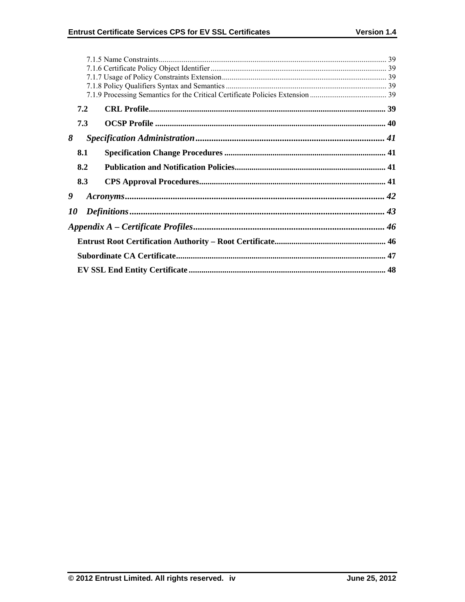|           | 7.2 |  |  |  |
|-----------|-----|--|--|--|
|           | 7.3 |  |  |  |
| 8         |     |  |  |  |
|           | 8.1 |  |  |  |
|           | 8.2 |  |  |  |
|           | 8.3 |  |  |  |
| 9         |     |  |  |  |
| <i>10</i> |     |  |  |  |
|           |     |  |  |  |
|           |     |  |  |  |
|           |     |  |  |  |
|           |     |  |  |  |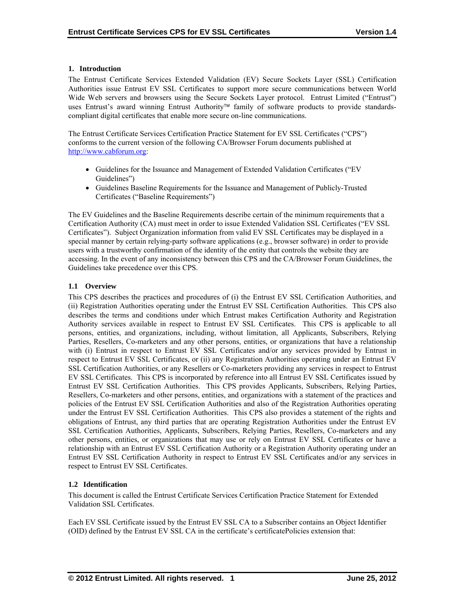## **1. Introduction**

The Entrust Certificate Services Extended Validation (EV) Secure Sockets Layer (SSL) Certification Authorities issue Entrust EV SSL Certificates to support more secure communications between World Wide Web servers and browsers using the Secure Sockets Layer protocol. Entrust Limited ("Entrust") uses Entrust's award winning Entrust Authority<sup>™</sup> family of software products to provide standardscompliant digital certificates that enable more secure on-line communications.

The Entrust Certificate Services Certification Practice Statement for EV SSL Certificates ("CPS") conforms to the current version of the following CA/Browser Forum documents published at http://www.cabforum.org:

- Guidelines for the Issuance and Management of Extended Validation Certificates ("EV Guidelines")
- Guidelines Baseline Requirements for the Issuance and Management of Publicly-Trusted Certificates ("Baseline Requirements")

The EV Guidelines and the Baseline Requirements describe certain of the minimum requirements that a Certification Authority (CA) must meet in order to issue Extended Validation SSL Certificates ("EV SSL Certificates"). Subject Organization information from valid EV SSL Certificates may be displayed in a special manner by certain relying-party software applications (e.g., browser software) in order to provide users with a trustworthy confirmation of the identity of the entity that controls the website they are accessing. In the event of any inconsistency between this CPS and the CA/Browser Forum Guidelines, the Guidelines take precedence over this CPS.

## **1.1 Overview**

This CPS describes the practices and procedures of (i) the Entrust EV SSL Certification Authorities, and (ii) Registration Authorities operating under the Entrust EV SSL Certification Authorities. This CPS also describes the terms and conditions under which Entrust makes Certification Authority and Registration Authority services available in respect to Entrust EV SSL Certificates. This CPS is applicable to all persons, entities, and organizations, including, without limitation, all Applicants, Subscribers, Relying Parties, Resellers, Co-marketers and any other persons, entities, or organizations that have a relationship with (i) Entrust in respect to Entrust EV SSL Certificates and/or any services provided by Entrust in respect to Entrust EV SSL Certificates, or (ii) any Registration Authorities operating under an Entrust EV SSL Certification Authorities, or any Resellers or Co-marketers providing any services in respect to Entrust EV SSL Certificates. This CPS is incorporated by reference into all Entrust EV SSL Certificates issued by Entrust EV SSL Certification Authorities. This CPS provides Applicants, Subscribers, Relying Parties, Resellers, Co-marketers and other persons, entities, and organizations with a statement of the practices and policies of the Entrust EV SSL Certification Authorities and also of the Registration Authorities operating under the Entrust EV SSL Certification Authorities. This CPS also provides a statement of the rights and obligations of Entrust, any third parties that are operating Registration Authorities under the Entrust EV SSL Certification Authorities, Applicants, Subscribers, Relying Parties, Resellers, Co-marketers and any other persons, entities, or organizations that may use or rely on Entrust EV SSL Certificates or have a relationship with an Entrust EV SSL Certification Authority or a Registration Authority operating under an Entrust EV SSL Certification Authority in respect to Entrust EV SSL Certificates and/or any services in respect to Entrust EV SSL Certificates.

# **1.2 Identification**

This document is called the Entrust Certificate Services Certification Practice Statement for Extended Validation SSL Certificates.

Each EV SSL Certificate issued by the Entrust EV SSL CA to a Subscriber contains an Object Identifier (OID) defined by the Entrust EV SSL CA in the certificate's certificatePolicies extension that: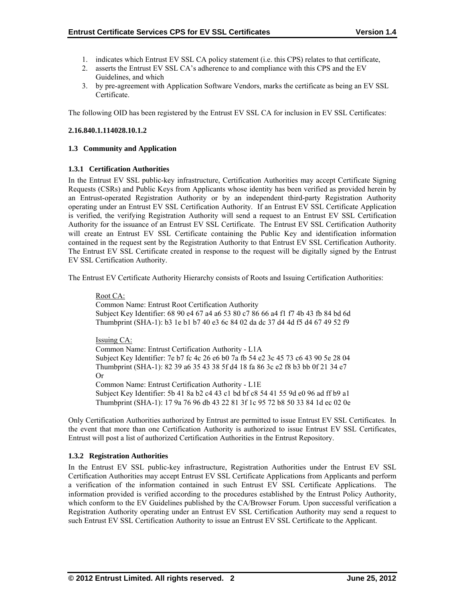- 1. indicates which Entrust EV SSL CA policy statement (i.e. this CPS) relates to that certificate,
- 2. asserts the Entrust EV SSL CA's adherence to and compliance with this CPS and the EV Guidelines, and which
- 3. by pre-agreement with Application Software Vendors, marks the certificate as being an EV SSL Certificate.

The following OID has been registered by the Entrust EV SSL CA for inclusion in EV SSL Certificates:

## **2.16.840.1.114028.10.1.2**

## **1.3 Community and Application**

## **1.3.1 Certification Authorities**

In the Entrust EV SSL public-key infrastructure, Certification Authorities may accept Certificate Signing Requests (CSRs) and Public Keys from Applicants whose identity has been verified as provided herein by an Entrust-operated Registration Authority or by an independent third-party Registration Authority operating under an Entrust EV SSL Certification Authority. If an Entrust EV SSL Certificate Application is verified, the verifying Registration Authority will send a request to an Entrust EV SSL Certification Authority for the issuance of an Entrust EV SSL Certificate. The Entrust EV SSL Certification Authority will create an Entrust EV SSL Certificate containing the Public Key and identification information contained in the request sent by the Registration Authority to that Entrust EV SSL Certification Authority. The Entrust EV SSL Certificate created in response to the request will be digitally signed by the Entrust EV SSL Certification Authority.

The Entrust EV Certificate Authority Hierarchy consists of Roots and Issuing Certification Authorities:

Root CA: Common Name: Entrust Root Certification Authority Subject Key Identifier: 68 90 e4 67 a4 a6 53 80 c7 86 66 a4 f1 f7 4b 43 fb 84 bd 6d Thumbprint (SHA-1): b3 1e b1 b7 40 e3 6c 84 02 da dc 37 d4 4d f5 d4 67 49 52 f9

Issuing CA:

Common Name: Entrust Certification Authority - L1A Subject Key Identifier: 7e b7 fc 4c 26 e6 b0 7a fb 54 e2 3c 45 73 c6 43 90 5e 28 04 Thumbprint (SHA-1): 82 39 a6 35 43 38 5f d4 18 fa 86 3c e2 f8 b3 bb 0f 21 34 e7 Or Common Name: Entrust Certification Authority - L1E Subject Key Identifier: 5b 41 8a b2 c4 43 c1 bd bf c8 54 41 55 9d e0 96 ad ff b9 a1 Thumbprint (SHA-1): 17 9a 76 96 db 43 22 81 3f 1c 95 72 b8 50 33 84 1d ec 02 0e

Only Certification Authorities authorized by Entrust are permitted to issue Entrust EV SSL Certificates. In the event that more than one Certification Authority is authorized to issue Entrust EV SSL Certificates, Entrust will post a list of authorized Certification Authorities in the Entrust Repository.

#### **1.3.2 Registration Authorities**

In the Entrust EV SSL public-key infrastructure, Registration Authorities under the Entrust EV SSL Certification Authorities may accept Entrust EV SSL Certificate Applications from Applicants and perform a verification of the information contained in such Entrust EV SSL Certificate Applications. The information provided is verified according to the procedures established by the Entrust Policy Authority, which conform to the EV Guidelines published by the CA/Browser Forum. Upon successful verification a Registration Authority operating under an Entrust EV SSL Certification Authority may send a request to such Entrust EV SSL Certification Authority to issue an Entrust EV SSL Certificate to the Applicant.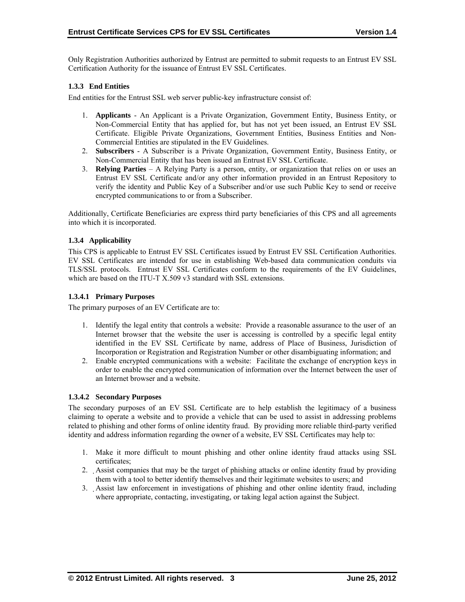Only Registration Authorities authorized by Entrust are permitted to submit requests to an Entrust EV SSL Certification Authority for the issuance of Entrust EV SSL Certificates.

#### **1.3.3 End Entities**

End entities for the Entrust SSL web server public-key infrastructure consist of:

- 1. **Applicants** An Applicant is a Private Organization, Government Entity, Business Entity, or Non-Commercial Entity that has applied for, but has not yet been issued, an Entrust EV SSL Certificate. Eligible Private Organizations, Government Entities, Business Entities and Non-Commercial Entities are stipulated in the EV Guidelines.
- 2. **Subscribers**  A Subscriber is a Private Organization, Government Entity, Business Entity, or Non-Commercial Entity that has been issued an Entrust EV SSL Certificate.
- 3. **Relying Parties**  A Relying Party is a person, entity, or organization that relies on or uses an Entrust EV SSL Certificate and/or any other information provided in an Entrust Repository to verify the identity and Public Key of a Subscriber and/or use such Public Key to send or receive encrypted communications to or from a Subscriber.

Additionally, Certificate Beneficiaries are express third party beneficiaries of this CPS and all agreements into which it is incorporated.

#### **1.3.4 Applicability**

This CPS is applicable to Entrust EV SSL Certificates issued by Entrust EV SSL Certification Authorities. EV SSL Certificates are intended for use in establishing Web-based data communication conduits via TLS/SSL protocols. Entrust EV SSL Certificates conform to the requirements of the EV Guidelines, which are based on the ITU-T X.509 v3 standard with SSL extensions.

#### **1.3.4.1 Primary Purposes**

The primary purposes of an EV Certificate are to:

- 1. Identify the legal entity that controls a website: Provide a reasonable assurance to the user of an Internet browser that the website the user is accessing is controlled by a specific legal entity identified in the EV SSL Certificate by name, address of Place of Business, Jurisdiction of Incorporation or Registration and Registration Number or other disambiguating information; and
- 2. Enable encrypted communications with a website: Facilitate the exchange of encryption keys in order to enable the encrypted communication of information over the Internet between the user of an Internet browser and a website.

#### **1.3.4.2 Secondary Purposes**

The secondary purposes of an EV SSL Certificate are to help establish the legitimacy of a business claiming to operate a website and to provide a vehicle that can be used to assist in addressing problems related to phishing and other forms of online identity fraud. By providing more reliable third-party verified identity and address information regarding the owner of a website, EV SSL Certificates may help to:

- 1. Make it more difficult to mount phishing and other online identity fraud attacks using SSL certificates;
- 2. Assist companies that may be the target of phishing attacks or online identity fraud by providing them with a tool to better identify themselves and their legitimate websites to users; and
- 3. Assist law enforcement in investigations of phishing and other online identity fraud, including where appropriate, contacting, investigating, or taking legal action against the Subject.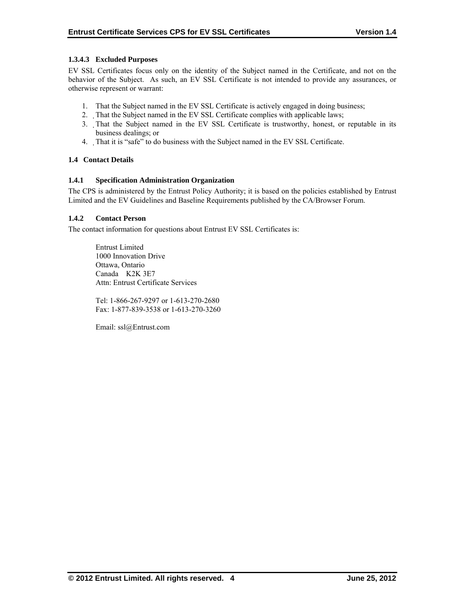# **1.3.4.3 Excluded Purposes**

EV SSL Certificates focus only on the identity of the Subject named in the Certificate, and not on the behavior of the Subject. As such, an EV SSL Certificate is not intended to provide any assurances, or otherwise represent or warrant:

- 1. That the Subject named in the EV SSL Certificate is actively engaged in doing business;
- 2. That the Subject named in the EV SSL Certificate complies with applicable laws;
- 3. That the Subject named in the EV SSL Certificate is trustworthy, honest, or reputable in its business dealings; or
- 4. That it is "safe" to do business with the Subject named in the EV SSL Certificate.

## **1.4 Contact Details**

## **1.4.1 Specification Administration Organization**

The CPS is administered by the Entrust Policy Authority; it is based on the policies established by Entrust Limited and the EV Guidelines and Baseline Requirements published by the CA/Browser Forum.

## **1.4.2 Contact Person**

The contact information for questions about Entrust EV SSL Certificates is:

 Entrust Limited 1000 Innovation Drive Ottawa, Ontario Canada K2K 3E7 Attn: Entrust Certificate Services

Tel: 1-866-267-9297 or 1-613-270-2680 Fax: 1-877-839-3538 or 1-613-270-3260

Email: ssl@Entrust.com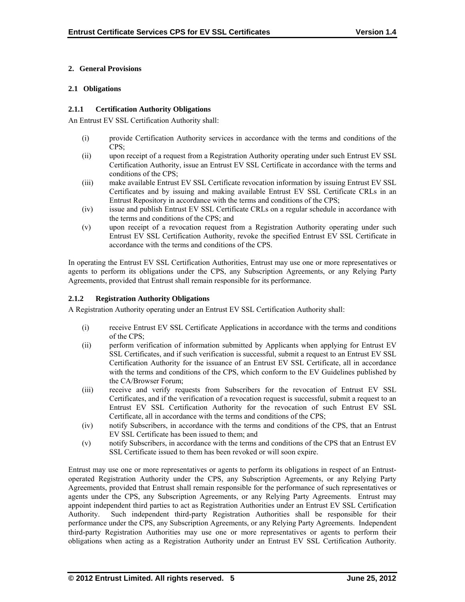# **2. General Provisions**

#### **2.1 Obligations**

## **2.1.1 Certification Authority Obligations**

An Entrust EV SSL Certification Authority shall:

- (i) provide Certification Authority services in accordance with the terms and conditions of the CPS;
- (ii) upon receipt of a request from a Registration Authority operating under such Entrust EV SSL Certification Authority, issue an Entrust EV SSL Certificate in accordance with the terms and conditions of the CPS;
- (iii) make available Entrust EV SSL Certificate revocation information by issuing Entrust EV SSL Certificates and by issuing and making available Entrust EV SSL Certificate CRLs in an Entrust Repository in accordance with the terms and conditions of the CPS;
- (iv) issue and publish Entrust EV SSL Certificate CRLs on a regular schedule in accordance with the terms and conditions of the CPS; and
- (v) upon receipt of a revocation request from a Registration Authority operating under such Entrust EV SSL Certification Authority, revoke the specified Entrust EV SSL Certificate in accordance with the terms and conditions of the CPS.

In operating the Entrust EV SSL Certification Authorities, Entrust may use one or more representatives or agents to perform its obligations under the CPS, any Subscription Agreements, or any Relying Party Agreements, provided that Entrust shall remain responsible for its performance.

# **2.1.2 Registration Authority Obligations**

A Registration Authority operating under an Entrust EV SSL Certification Authority shall:

- (i) receive Entrust EV SSL Certificate Applications in accordance with the terms and conditions of the CPS;
- (ii) perform verification of information submitted by Applicants when applying for Entrust EV SSL Certificates, and if such verification is successful, submit a request to an Entrust EV SSL Certification Authority for the issuance of an Entrust EV SSL Certificate, all in accordance with the terms and conditions of the CPS, which conform to the EV Guidelines published by the CA/Browser Forum;
- (iii) receive and verify requests from Subscribers for the revocation of Entrust EV SSL Certificates, and if the verification of a revocation request is successful, submit a request to an Entrust EV SSL Certification Authority for the revocation of such Entrust EV SSL Certificate, all in accordance with the terms and conditions of the CPS;
- (iv) notify Subscribers, in accordance with the terms and conditions of the CPS, that an Entrust EV SSL Certificate has been issued to them; and
- (v) notify Subscribers, in accordance with the terms and conditions of the CPS that an Entrust EV SSL Certificate issued to them has been revoked or will soon expire.

Entrust may use one or more representatives or agents to perform its obligations in respect of an Entrustoperated Registration Authority under the CPS, any Subscription Agreements, or any Relying Party Agreements, provided that Entrust shall remain responsible for the performance of such representatives or agents under the CPS, any Subscription Agreements, or any Relying Party Agreements. Entrust may appoint independent third parties to act as Registration Authorities under an Entrust EV SSL Certification Authority. Such independent third-party Registration Authorities shall be responsible for their performance under the CPS, any Subscription Agreements, or any Relying Party Agreements. Independent third-party Registration Authorities may use one or more representatives or agents to perform their obligations when acting as a Registration Authority under an Entrust EV SSL Certification Authority.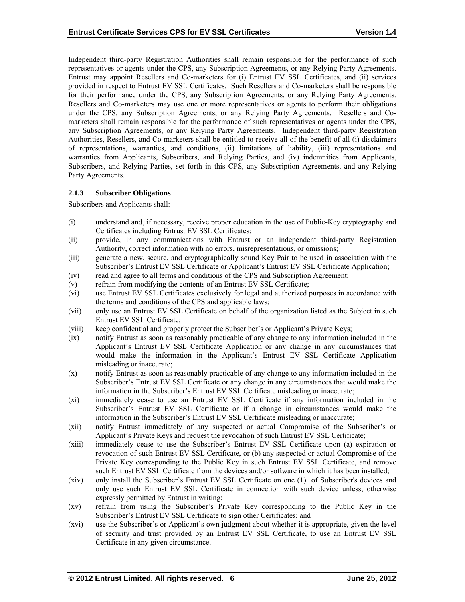Independent third-party Registration Authorities shall remain responsible for the performance of such representatives or agents under the CPS, any Subscription Agreements, or any Relying Party Agreements. Entrust may appoint Resellers and Co-marketers for (i) Entrust EV SSL Certificates, and (ii) services provided in respect to Entrust EV SSL Certificates. Such Resellers and Co-marketers shall be responsible for their performance under the CPS, any Subscription Agreements, or any Relying Party Agreements. Resellers and Co-marketers may use one or more representatives or agents to perform their obligations under the CPS, any Subscription Agreements, or any Relying Party Agreements. Resellers and Comarketers shall remain responsible for the performance of such representatives or agents under the CPS, any Subscription Agreements, or any Relying Party Agreements. Independent third-party Registration Authorities, Resellers, and Co-marketers shall be entitled to receive all of the benefit of all (i) disclaimers of representations, warranties, and conditions, (ii) limitations of liability, (iii) representations and warranties from Applicants, Subscribers, and Relying Parties, and (iv) indemnities from Applicants, Subscribers, and Relying Parties, set forth in this CPS, any Subscription Agreements, and any Relying Party Agreements.

## **2.1.3 Subscriber Obligations**

Subscribers and Applicants shall:

- (i) understand and, if necessary, receive proper education in the use of Public-Key cryptography and Certificates including Entrust EV SSL Certificates;
- (ii) provide, in any communications with Entrust or an independent third-party Registration Authority, correct information with no errors, misrepresentations, or omissions;
- (iii) generate a new, secure, and cryptographically sound Key Pair to be used in association with the Subscriber's Entrust EV SSL Certificate or Applicant's Entrust EV SSL Certificate Application;
- (iv) read and agree to all terms and conditions of the CPS and Subscription Agreement;
- (v) refrain from modifying the contents of an Entrust EV SSL Certificate;
- (vi) use Entrust EV SSL Certificates exclusively for legal and authorized purposes in accordance with the terms and conditions of the CPS and applicable laws;
- (vii) only use an Entrust EV SSL Certificate on behalf of the organization listed as the Subject in such Entrust EV SSL Certificate;
- (viii) keep confidential and properly protect the Subscriber's or Applicant's Private Keys;
- (ix) notify Entrust as soon as reasonably practicable of any change to any information included in the Applicant's Entrust EV SSL Certificate Application or any change in any circumstances that would make the information in the Applicant's Entrust EV SSL Certificate Application misleading or inaccurate;
- (x) notify Entrust as soon as reasonably practicable of any change to any information included in the Subscriber's Entrust EV SSL Certificate or any change in any circumstances that would make the information in the Subscriber's Entrust EV SSL Certificate misleading or inaccurate;
- (xi) immediately cease to use an Entrust EV SSL Certificate if any information included in the Subscriber's Entrust EV SSL Certificate or if a change in circumstances would make the information in the Subscriber's Entrust EV SSL Certificate misleading or inaccurate;
- (xii) notify Entrust immediately of any suspected or actual Compromise of the Subscriber's or Applicant's Private Keys and request the revocation of such Entrust EV SSL Certificate;
- (xiii) immediately cease to use the Subscriber's Entrust EV SSL Certificate upon (a) expiration or revocation of such Entrust EV SSL Certificate, or (b) any suspected or actual Compromise of the Private Key corresponding to the Public Key in such Entrust EV SSL Certificate, and remove such Entrust EV SSL Certificate from the devices and/or software in which it has been installed;
- (xiv) only install the Subscriber's Entrust EV SSL Certificate on one (1) of Subscriber's devices and only use such Entrust EV SSL Certificate in connection with such device unless, otherwise expressly permitted by Entrust in writing;
- (xv) refrain from using the Subscriber's Private Key corresponding to the Public Key in the Subscriber's Entrust EV SSL Certificate to sign other Certificates; and
- (xvi) use the Subscriber's or Applicant's own judgment about whether it is appropriate, given the level of security and trust provided by an Entrust EV SSL Certificate, to use an Entrust EV SSL Certificate in any given circumstance.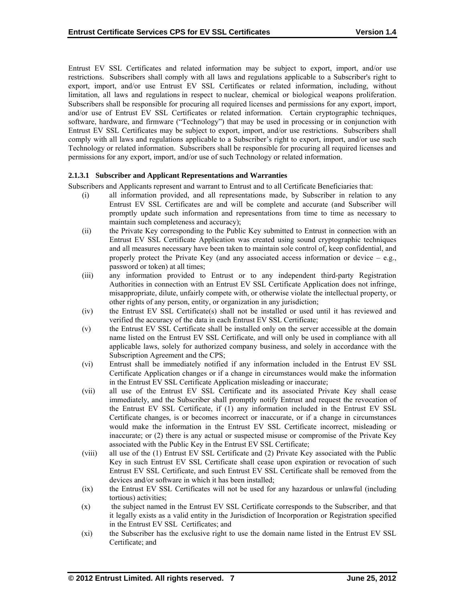Entrust EV SSL Certificates and related information may be subject to export, import, and/or use restrictions. Subscribers shall comply with all laws and regulations applicable to a Subscriber's right to export, import, and/or use Entrust EV SSL Certificates or related information, including, without limitation, all laws and regulations in respect to nuclear, chemical or biological weapons proliferation. Subscribers shall be responsible for procuring all required licenses and permissions for any export, import, and/or use of Entrust EV SSL Certificates or related information. Certain cryptographic techniques, software, hardware, and firmware ("Technology") that may be used in processing or in conjunction with Entrust EV SSL Certificates may be subject to export, import, and/or use restrictions. Subscribers shall comply with all laws and regulations applicable to a Subscriber's right to export, import, and/or use such Technology or related information. Subscribers shall be responsible for procuring all required licenses and permissions for any export, import, and/or use of such Technology or related information.

## **2.1.3.1 Subscriber and Applicant Representations and Warranties**

Subscribers and Applicants represent and warrant to Entrust and to all Certificate Beneficiaries that:

- (i) all information provided, and all representations made, by Subscriber in relation to any Entrust EV SSL Certificates are and will be complete and accurate (and Subscriber will promptly update such information and representations from time to time as necessary to maintain such completeness and accuracy);
- (ii) the Private Key corresponding to the Public Key submitted to Entrust in connection with an Entrust EV SSL Certificate Application was created using sound cryptographic techniques and all measures necessary have been taken to maintain sole control of, keep confidential, and properly protect the Private Key (and any associated access information or device  $-$  e.g., password or token) at all times;
- (iii) any information provided to Entrust or to any independent third-party Registration Authorities in connection with an Entrust EV SSL Certificate Application does not infringe, misappropriate, dilute, unfairly compete with, or otherwise violate the intellectual property, or other rights of any person, entity, or organization in any jurisdiction;
- (iv) the Entrust EV SSL Certificate(s) shall not be installed or used until it has reviewed and verified the accuracy of the data in each Entrust EV SSL Certificate;
- (v) the Entrust EV SSL Certificate shall be installed only on the server accessible at the domain name listed on the Entrust EV SSL Certificate, and will only be used in compliance with all applicable laws, solely for authorized company business, and solely in accordance with the Subscription Agreement and the CPS;
- (vi) Entrust shall be immediately notified if any information included in the Entrust EV SSL Certificate Application changes or if a change in circumstances would make the information in the Entrust EV SSL Certificate Application misleading or inaccurate;
- (vii) all use of the Entrust EV SSL Certificate and its associated Private Key shall cease immediately, and the Subscriber shall promptly notify Entrust and request the revocation of the Entrust EV SSL Certificate, if (1) any information included in the Entrust EV SSL Certificate changes, is or becomes incorrect or inaccurate, or if a change in circumstances would make the information in the Entrust EV SSL Certificate incorrect, misleading or inaccurate; or (2) there is any actual or suspected misuse or compromise of the Private Key associated with the Public Key in the Entrust EV SSL Certificate;
- (viii) all use of the (1) Entrust EV SSL Certificate and (2) Private Key associated with the Public Key in such Entrust EV SSL Certificate shall cease upon expiration or revocation of such Entrust EV SSL Certificate, and such Entrust EV SSL Certificate shall be removed from the devices and/or software in which it has been installed;
- (ix) the Entrust EV SSL Certificates will not be used for any hazardous or unlawful (including tortious) activities;
- (x) the subject named in the Entrust EV SSL Certificate corresponds to the Subscriber, and that it legally exists as a valid entity in the Jurisdiction of Incorporation or Registration specified in the Entrust EV SSL Certificates; and
- (xi) the Subscriber has the exclusive right to use the domain name listed in the Entrust EV SSL Certificate; and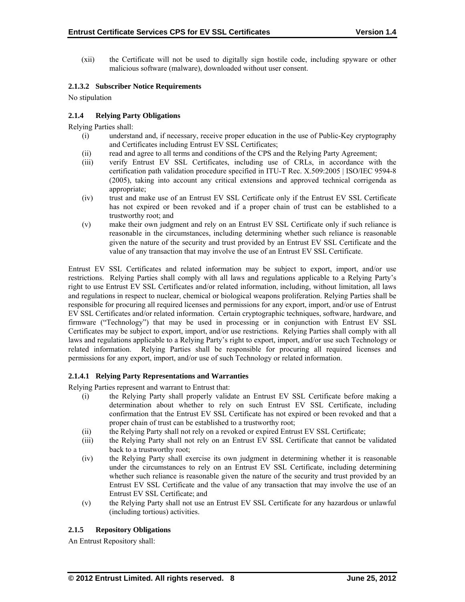(xii) the Certificate will not be used to digitally sign hostile code, including spyware or other malicious software (malware), downloaded without user consent.

#### **2.1.3.2 Subscriber Notice Requirements**

No stipulation

## **2.1.4 Relying Party Obligations**

Relying Parties shall:

- (i) understand and, if necessary, receive proper education in the use of Public-Key cryptography and Certificates including Entrust EV SSL Certificates;
- (ii) read and agree to all terms and conditions of the CPS and the Relying Party Agreement;
- (iii) verify Entrust EV SSL Certificates, including use of CRLs, in accordance with the certification path validation procedure specified in ITU-T Rec. X.509:2005 | ISO/IEC 9594-8 (2005), taking into account any critical extensions and approved technical corrigenda as appropriate;
- (iv) trust and make use of an Entrust EV SSL Certificate only if the Entrust EV SSL Certificate has not expired or been revoked and if a proper chain of trust can be established to a trustworthy root; and
- (v) make their own judgment and rely on an Entrust EV SSL Certificate only if such reliance is reasonable in the circumstances, including determining whether such reliance is reasonable given the nature of the security and trust provided by an Entrust EV SSL Certificate and the value of any transaction that may involve the use of an Entrust EV SSL Certificate.

Entrust EV SSL Certificates and related information may be subject to export, import, and/or use restrictions. Relying Parties shall comply with all laws and regulations applicable to a Relying Party's right to use Entrust EV SSL Certificates and/or related information, including, without limitation, all laws and regulations in respect to nuclear, chemical or biological weapons proliferation. Relying Parties shall be responsible for procuring all required licenses and permissions for any export, import, and/or use of Entrust EV SSL Certificates and/or related information. Certain cryptographic techniques, software, hardware, and firmware ("Technology") that may be used in processing or in conjunction with Entrust EV SSL Certificates may be subject to export, import, and/or use restrictions. Relying Parties shall comply with all laws and regulations applicable to a Relying Party's right to export, import, and/or use such Technology or related information. Relying Parties shall be responsible for procuring all required licenses and permissions for any export, import, and/or use of such Technology or related information.

#### **2.1.4.1 Relying Party Representations and Warranties**

Relying Parties represent and warrant to Entrust that:

- (i) the Relying Party shall properly validate an Entrust EV SSL Certificate before making a determination about whether to rely on such Entrust EV SSL Certificate, including confirmation that the Entrust EV SSL Certificate has not expired or been revoked and that a proper chain of trust can be established to a trustworthy root;
- (ii) the Relying Party shall not rely on a revoked or expired Entrust EV SSL Certificate;
- (iii) the Relying Party shall not rely on an Entrust EV SSL Certificate that cannot be validated back to a trustworthy root;
- (iv) the Relying Party shall exercise its own judgment in determining whether it is reasonable under the circumstances to rely on an Entrust EV SSL Certificate, including determining whether such reliance is reasonable given the nature of the security and trust provided by an Entrust EV SSL Certificate and the value of any transaction that may involve the use of an Entrust EV SSL Certificate; and
- (v) the Relying Party shall not use an Entrust EV SSL Certificate for any hazardous or unlawful (including tortious) activities.

# **2.1.5 Repository Obligations**

An Entrust Repository shall: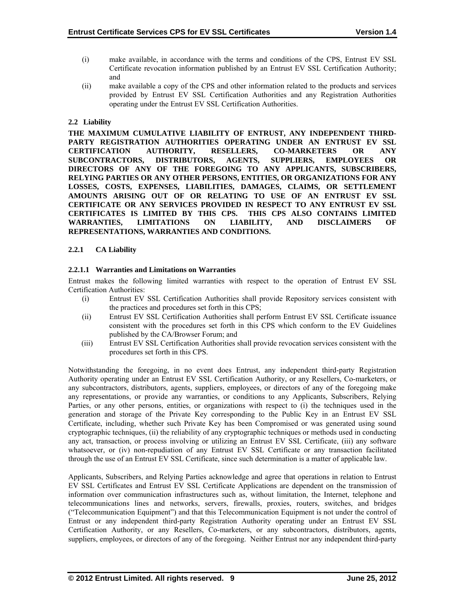- (i) make available, in accordance with the terms and conditions of the CPS, Entrust EV SSL Certificate revocation information published by an Entrust EV SSL Certification Authority; and
- (ii) make available a copy of the CPS and other information related to the products and services provided by Entrust EV SSL Certification Authorities and any Registration Authorities operating under the Entrust EV SSL Certification Authorities.

## **2.2 Liability**

**THE MAXIMUM CUMULATIVE LIABILITY OF ENTRUST, ANY INDEPENDENT THIRD-PARTY REGISTRATION AUTHORITIES OPERATING UNDER AN ENTRUST EV SSL CERTIFICATION AUTHORITY, RESELLERS, CO-MARKETERS OR ANY SUBCONTRACTORS, DISTRIBUTORS, AGENTS, SUPPLIERS, EMPLOYEES OR DIRECTORS OF ANY OF THE FOREGOING TO ANY APPLICANTS, SUBSCRIBERS, RELYING PARTIES OR ANY OTHER PERSONS, ENTITIES, OR ORGANIZATIONS FOR ANY LOSSES, COSTS, EXPENSES, LIABILITIES, DAMAGES, CLAIMS, OR SETTLEMENT AMOUNTS ARISING OUT OF OR RELATING TO USE OF AN ENTRUST EV SSL CERTIFICATE OR ANY SERVICES PROVIDED IN RESPECT TO ANY ENTRUST EV SSL CERTIFICATES IS LIMITED BY THIS CPS. THIS CPS ALSO CONTAINS LIMITED WARRANTIES, LIMITATIONS ON LIABILITY, AND DISCLAIMERS OF REPRESENTATIONS, WARRANTIES AND CONDITIONS.** 

## **2.2.1 CA Liability**

## **2.2.1.1 Warranties and Limitations on Warranties**

Entrust makes the following limited warranties with respect to the operation of Entrust EV SSL Certification Authorities:

- (i) Entrust EV SSL Certification Authorities shall provide Repository services consistent with the practices and procedures set forth in this CPS;
- (ii) Entrust EV SSL Certification Authorities shall perform Entrust EV SSL Certificate issuance consistent with the procedures set forth in this CPS which conform to the EV Guidelines published by the CA/Browser Forum; and
- (iii) Entrust EV SSL Certification Authorities shall provide revocation services consistent with the procedures set forth in this CPS.

Notwithstanding the foregoing, in no event does Entrust, any independent third-party Registration Authority operating under an Entrust EV SSL Certification Authority, or any Resellers, Co-marketers, or any subcontractors, distributors, agents, suppliers, employees, or directors of any of the foregoing make any representations, or provide any warranties, or conditions to any Applicants, Subscribers, Relying Parties, or any other persons, entities, or organizations with respect to (i) the techniques used in the generation and storage of the Private Key corresponding to the Public Key in an Entrust EV SSL Certificate, including, whether such Private Key has been Compromised or was generated using sound cryptographic techniques, (ii) the reliability of any cryptographic techniques or methods used in conducting any act, transaction, or process involving or utilizing an Entrust EV SSL Certificate, (iii) any software whatsoever, or (iv) non-repudiation of any Entrust EV SSL Certificate or any transaction facilitated through the use of an Entrust EV SSL Certificate, since such determination is a matter of applicable law.

Applicants, Subscribers, and Relying Parties acknowledge and agree that operations in relation to Entrust EV SSL Certificates and Entrust EV SSL Certificate Applications are dependent on the transmission of information over communication infrastructures such as, without limitation, the Internet, telephone and telecommunications lines and networks, servers, firewalls, proxies, routers, switches, and bridges ("Telecommunication Equipment") and that this Telecommunication Equipment is not under the control of Entrust or any independent third-party Registration Authority operating under an Entrust EV SSL Certification Authority, or any Resellers, Co-marketers, or any subcontractors, distributors, agents, suppliers, employees, or directors of any of the foregoing. Neither Entrust nor any independent third-party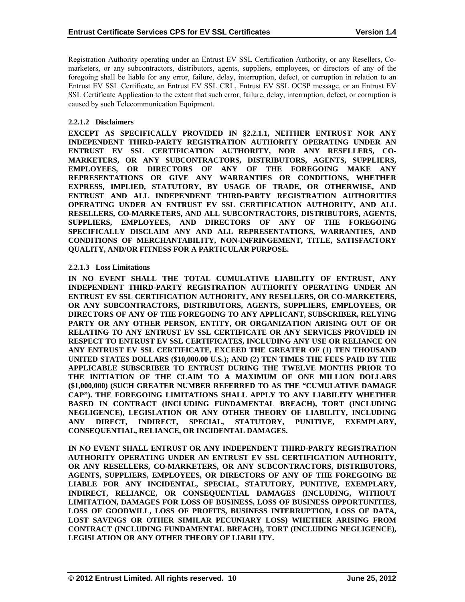Registration Authority operating under an Entrust EV SSL Certification Authority, or any Resellers, Comarketers, or any subcontractors, distributors, agents, suppliers, employees, or directors of any of the foregoing shall be liable for any error, failure, delay, interruption, defect, or corruption in relation to an Entrust EV SSL Certificate, an Entrust EV SSL CRL, Entrust EV SSL OCSP message, or an Entrust EV SSL Certificate Application to the extent that such error, failure, delay, interruption, defect, or corruption is caused by such Telecommunication Equipment.

#### **2.2.1.2 Disclaimers**

**EXCEPT AS SPECIFICALLY PROVIDED IN §2.2.1.1, NEITHER ENTRUST NOR ANY INDEPENDENT THIRD-PARTY REGISTRATION AUTHORITY OPERATING UNDER AN ENTRUST EV SSL CERTIFICATION AUTHORITY, NOR ANY RESELLERS, CO-MARKETERS, OR ANY SUBCONTRACTORS, DISTRIBUTORS, AGENTS, SUPPLIERS, EMPLOYEES, OR DIRECTORS OF ANY OF THE FOREGOING MAKE ANY REPRESENTATIONS OR GIVE ANY WARRANTIES OR CONDITIONS, WHETHER EXPRESS, IMPLIED, STATUTORY, BY USAGE OF TRADE, OR OTHERWISE, AND ENTRUST AND ALL INDEPENDENT THIRD-PARTY REGISTRATION AUTHORITIES OPERATING UNDER AN ENTRUST EV SSL CERTIFICATION AUTHORITY, AND ALL RESELLERS, CO-MARKETERS, AND ALL SUBCONTRACTORS, DISTRIBUTORS, AGENTS, SUPPLIERS, EMPLOYEES, AND DIRECTORS OF ANY OF THE FOREGOING SPECIFICALLY DISCLAIM ANY AND ALL REPRESENTATIONS, WARRANTIES, AND CONDITIONS OF MERCHANTABILITY, NON-INFRINGEMENT, TITLE, SATISFACTORY QUALITY, AND/OR FITNESS FOR A PARTICULAR PURPOSE.** 

## **2.2.1.3 Loss Limitations**

**IN NO EVENT SHALL THE TOTAL CUMULATIVE LIABILITY OF ENTRUST, ANY INDEPENDENT THIRD-PARTY REGISTRATION AUTHORITY OPERATING UNDER AN ENTRUST EV SSL CERTIFICATION AUTHORITY, ANY RESELLERS, OR CO-MARKETERS, OR ANY SUBCONTRACTORS, DISTRIBUTORS, AGENTS, SUPPLIERS, EMPLOYEES, OR DIRECTORS OF ANY OF THE FOREGOING TO ANY APPLICANT, SUBSCRIBER, RELYING PARTY OR ANY OTHER PERSON, ENTITY, OR ORGANIZATION ARISING OUT OF OR RELATING TO ANY ENTRUST EV SSL CERTIFICATE OR ANY SERVICES PROVIDED IN RESPECT TO ENTRUST EV SSL CERTIFICATES, INCLUDING ANY USE OR RELIANCE ON ANY ENTRUST EV SSL CERTIFICATE, EXCEED THE GREATER OF (1) TEN THOUSAND UNITED STATES DOLLARS (\$10,000.00 U.S.); AND (2) TEN TIMES THE FEES PAID BY THE APPLICABLE SUBSCRIBER TO ENTRUST DURING THE TWELVE MONTHS PRIOR TO THE INITIATION OF THE CLAIM TO A MAXIMUM OF ONE MILLION DOLLARS (\$1,000,000) (SUCH GREATER NUMBER REFERRED TO AS THE "CUMULATIVE DAMAGE CAP"). THE FOREGOING LIMITATIONS SHALL APPLY TO ANY LIABILITY WHETHER BASED IN CONTRACT (INCLUDING FUNDAMENTAL BREACH), TORT (INCLUDING NEGLIGENCE), LEGISLATION OR ANY OTHER THEORY OF LIABILITY, INCLUDING ANY DIRECT, INDIRECT, SPECIAL, STATUTORY, PUNITIVE, EXEMPLARY, CONSEQUENTIAL, RELIANCE, OR INCIDENTAL DAMAGES.** 

**IN NO EVENT SHALL ENTRUST OR ANY INDEPENDENT THIRD-PARTY REGISTRATION AUTHORITY OPERATING UNDER AN ENTRUST EV SSL CERTIFICATION AUTHORITY, OR ANY RESELLERS, CO-MARKETERS, OR ANY SUBCONTRACTORS, DISTRIBUTORS, AGENTS, SUPPLIERS, EMPLOYEES, OR DIRECTORS OF ANY OF THE FOREGOING BE LIABLE FOR ANY INCIDENTAL, SPECIAL, STATUTORY, PUNITIVE, EXEMPLARY, INDIRECT, RELIANCE, OR CONSEQUENTIAL DAMAGES (INCLUDING, WITHOUT LIMITATION, DAMAGES FOR LOSS OF BUSINESS, LOSS OF BUSINESS OPPORTUNITIES, LOSS OF GOODWILL, LOSS OF PROFITS, BUSINESS INTERRUPTION, LOSS OF DATA, LOST SAVINGS OR OTHER SIMILAR PECUNIARY LOSS) WHETHER ARISING FROM CONTRACT (INCLUDING FUNDAMENTAL BREACH), TORT (INCLUDING NEGLIGENCE), LEGISLATION OR ANY OTHER THEORY OF LIABILITY.**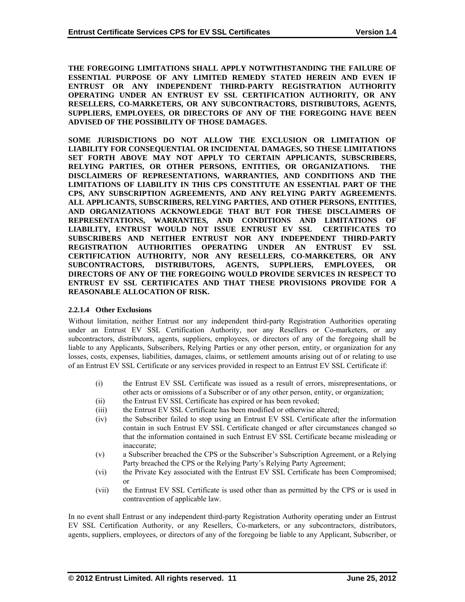**THE FOREGOING LIMITATIONS SHALL APPLY NOTWITHSTANDING THE FAILURE OF ESSENTIAL PURPOSE OF ANY LIMITED REMEDY STATED HEREIN AND EVEN IF ENTRUST OR ANY INDEPENDENT THIRD-PARTY REGISTRATION AUTHORITY OPERATING UNDER AN ENTRUST EV SSL CERTIFICATION AUTHORITY, OR ANY RESELLERS, CO-MARKETERS, OR ANY SUBCONTRACTORS, DISTRIBUTORS, AGENTS, SUPPLIERS, EMPLOYEES, OR DIRECTORS OF ANY OF THE FOREGOING HAVE BEEN ADVISED OF THE POSSIBILITY OF THOSE DAMAGES.** 

**SOME JURISDICTIONS DO NOT ALLOW THE EXCLUSION OR LIMITATION OF LIABILITY FOR CONSEQUENTIAL OR INCIDENTAL DAMAGES, SO THESE LIMITATIONS SET FORTH ABOVE MAY NOT APPLY TO CERTAIN APPLICANTS, SUBSCRIBERS,**  RELYING PARTIES, OR OTHER PERSONS, ENTITIES, OR ORGANIZATIONS. **DISCLAIMERS OF REPRESENTATIONS, WARRANTIES, AND CONDITIONS AND THE LIMITATIONS OF LIABILITY IN THIS CPS CONSTITUTE AN ESSENTIAL PART OF THE CPS, ANY SUBSCRIPTION AGREEMENTS, AND ANY RELYING PARTY AGREEMENTS. ALL APPLICANTS, SUBSCRIBERS, RELYING PARTIES, AND OTHER PERSONS, ENTITIES, AND ORGANIZATIONS ACKNOWLEDGE THAT BUT FOR THESE DISCLAIMERS OF REPRESENTATIONS, WARRANTIES, AND CONDITIONS AND LIMITATIONS OF LIABILITY, ENTRUST WOULD NOT ISSUE ENTRUST EV SSL CERTIFICATES TO SUBSCRIBERS AND NEITHER ENTRUST NOR ANY INDEPENDENT THIRD-PARTY REGISTRATION AUTHORITIES OPERATING UNDER AN ENTRUST EV SSL CERTIFICATION AUTHORITY, NOR ANY RESELLERS, CO-MARKETERS, OR ANY SUBCONTRACTORS, DISTRIBUTORS, AGENTS, SUPPLIERS, EMPLOYEES, OR DIRECTORS OF ANY OF THE FOREGOING WOULD PROVIDE SERVICES IN RESPECT TO ENTRUST EV SSL CERTIFICATES AND THAT THESE PROVISIONS PROVIDE FOR A REASONABLE ALLOCATION OF RISK.** 

# **2.2.1.4 Other Exclusions**

Without limitation, neither Entrust nor any independent third-party Registration Authorities operating under an Entrust EV SSL Certification Authority, nor any Resellers or Co-marketers, or any subcontractors, distributors, agents, suppliers, employees, or directors of any of the foregoing shall be liable to any Applicants, Subscribers, Relying Parties or any other person, entity, or organization for any losses, costs, expenses, liabilities, damages, claims, or settlement amounts arising out of or relating to use of an Entrust EV SSL Certificate or any services provided in respect to an Entrust EV SSL Certificate if:

- (i) the Entrust EV SSL Certificate was issued as a result of errors, misrepresentations, or other acts or omissions of a Subscriber or of any other person, entity, or organization;
- (ii) the Entrust EV SSL Certificate has expired or has been revoked;
- (iii) the Entrust EV SSL Certificate has been modified or otherwise altered;
- (iv) the Subscriber failed to stop using an Entrust EV SSL Certificate after the information contain in such Entrust EV SSL Certificate changed or after circumstances changed so that the information contained in such Entrust EV SSL Certificate became misleading or inaccurate;
- (v) a Subscriber breached the CPS or the Subscriber's Subscription Agreement, or a Relying Party breached the CPS or the Relying Party's Relying Party Agreement;
- (vi) the Private Key associated with the Entrust EV SSL Certificate has been Compromised; or
- (vii) the Entrust EV SSL Certificate is used other than as permitted by the CPS or is used in contravention of applicable law.

In no event shall Entrust or any independent third-party Registration Authority operating under an Entrust EV SSL Certification Authority, or any Resellers, Co-marketers, or any subcontractors, distributors, agents, suppliers, employees, or directors of any of the foregoing be liable to any Applicant, Subscriber, or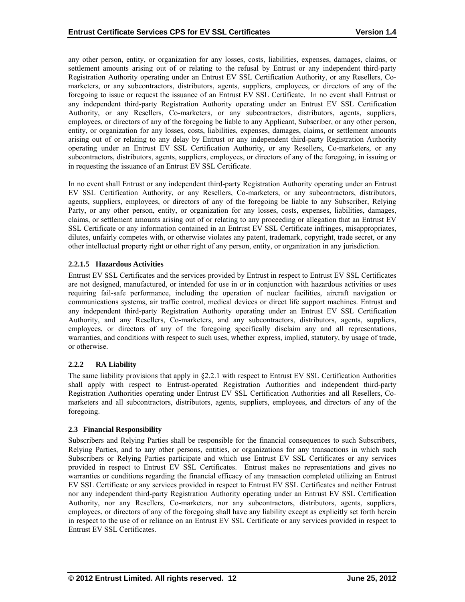any other person, entity, or organization for any losses, costs, liabilities, expenses, damages, claims, or settlement amounts arising out of or relating to the refusal by Entrust or any independent third-party Registration Authority operating under an Entrust EV SSL Certification Authority, or any Resellers, Comarketers, or any subcontractors, distributors, agents, suppliers, employees, or directors of any of the foregoing to issue or request the issuance of an Entrust EV SSL Certificate. In no event shall Entrust or any independent third-party Registration Authority operating under an Entrust EV SSL Certification Authority, or any Resellers, Co-marketers, or any subcontractors, distributors, agents, suppliers, employees, or directors of any of the foregoing be liable to any Applicant, Subscriber, or any other person, entity, or organization for any losses, costs, liabilities, expenses, damages, claims, or settlement amounts arising out of or relating to any delay by Entrust or any independent third-party Registration Authority operating under an Entrust EV SSL Certification Authority, or any Resellers, Co-marketers, or any subcontractors, distributors, agents, suppliers, employees, or directors of any of the foregoing, in issuing or in requesting the issuance of an Entrust EV SSL Certificate.

In no event shall Entrust or any independent third-party Registration Authority operating under an Entrust EV SSL Certification Authority, or any Resellers, Co-marketers, or any subcontractors, distributors, agents, suppliers, employees, or directors of any of the foregoing be liable to any Subscriber, Relying Party, or any other person, entity, or organization for any losses, costs, expenses, liabilities, damages, claims, or settlement amounts arising out of or relating to any proceeding or allegation that an Entrust EV SSL Certificate or any information contained in an Entrust EV SSL Certificate infringes, misappropriates, dilutes, unfairly competes with, or otherwise violates any patent, trademark, copyright, trade secret, or any other intellectual property right or other right of any person, entity, or organization in any jurisdiction.

## **2.2.1.5 Hazardous Activities**

Entrust EV SSL Certificates and the services provided by Entrust in respect to Entrust EV SSL Certificates are not designed, manufactured, or intended for use in or in conjunction with hazardous activities or uses requiring fail-safe performance, including the operation of nuclear facilities, aircraft navigation or communications systems, air traffic control, medical devices or direct life support machines. Entrust and any independent third-party Registration Authority operating under an Entrust EV SSL Certification Authority, and any Resellers, Co-marketers, and any subcontractors, distributors, agents, suppliers, employees, or directors of any of the foregoing specifically disclaim any and all representations, warranties, and conditions with respect to such uses, whether express, implied, statutory, by usage of trade, or otherwise.

# **2.2.2 RA Liability**

The same liability provisions that apply in §2.2.1 with respect to Entrust EV SSL Certification Authorities shall apply with respect to Entrust-operated Registration Authorities and independent third-party Registration Authorities operating under Entrust EV SSL Certification Authorities and all Resellers, Comarketers and all subcontractors, distributors, agents, suppliers, employees, and directors of any of the foregoing.

#### **2.3 Financial Responsibility**

Subscribers and Relying Parties shall be responsible for the financial consequences to such Subscribers, Relying Parties, and to any other persons, entities, or organizations for any transactions in which such Subscribers or Relying Parties participate and which use Entrust EV SSL Certificates or any services provided in respect to Entrust EV SSL Certificates. Entrust makes no representations and gives no warranties or conditions regarding the financial efficacy of any transaction completed utilizing an Entrust EV SSL Certificate or any services provided in respect to Entrust EV SSL Certificates and neither Entrust nor any independent third-party Registration Authority operating under an Entrust EV SSL Certification Authority, nor any Resellers, Co-marketers, nor any subcontractors, distributors, agents, suppliers, employees, or directors of any of the foregoing shall have any liability except as explicitly set forth herein in respect to the use of or reliance on an Entrust EV SSL Certificate or any services provided in respect to Entrust EV SSL Certificates.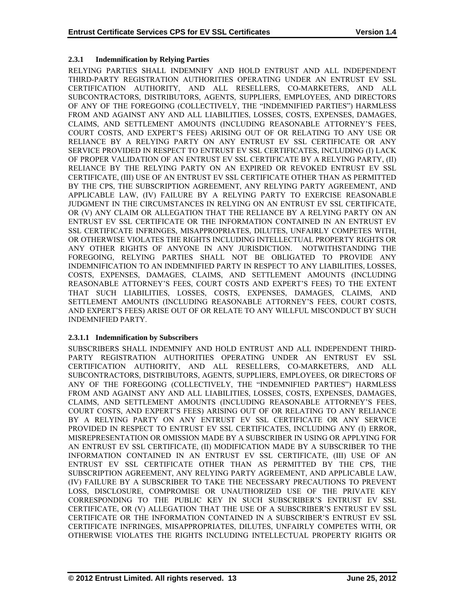# **2.3.1 Indemnification by Relying Parties**

RELYING PARTIES SHALL INDEMNIFY AND HOLD ENTRUST AND ALL INDEPENDENT THIRD-PARTY REGISTRATION AUTHORITIES OPERATING UNDER AN ENTRUST EV SSL CERTIFICATION AUTHORITY, AND ALL RESELLERS, CO-MARKETERS, AND ALL SUBCONTRACTORS, DISTRIBUTORS, AGENTS, SUPPLIERS, EMPLOYEES, AND DIRECTORS OF ANY OF THE FOREGOING (COLLECTIVELY, THE "INDEMNIFIED PARTIES") HARMLESS FROM AND AGAINST ANY AND ALL LIABILITIES, LOSSES, COSTS, EXPENSES, DAMAGES, CLAIMS, AND SETTLEMENT AMOUNTS (INCLUDING REASONABLE ATTORNEY'S FEES, COURT COSTS, AND EXPERT'S FEES) ARISING OUT OF OR RELATING TO ANY USE OR RELIANCE BY A RELYING PARTY ON ANY ENTRUST EV SSL CERTIFICATE OR ANY SERVICE PROVIDED IN RESPECT TO ENTRUST EV SSL CERTIFICATES, INCLUDING (I) LACK OF PROPER VALIDATION OF AN ENTRUST EV SSL CERTIFICATE BY A RELYING PARTY, (II) RELIANCE BY THE RELYING PARTY ON AN EXPIRED OR REVOKED ENTRUST EV SSL CERTIFICATE, (III) USE OF AN ENTRUST EV SSL CERTIFICATE OTHER THAN AS PERMITTED BY THE CPS, THE SUBSCRIPTION AGREEMENT, ANY RELYING PARTY AGREEMENT, AND APPLICABLE LAW, (IV) FAILURE BY A RELYING PARTY TO EXERCISE REASONABLE JUDGMENT IN THE CIRCUMSTANCES IN RELYING ON AN ENTRUST EV SSL CERTIFICATE, OR (V) ANY CLAIM OR ALLEGATION THAT THE RELIANCE BY A RELYING PARTY ON AN ENTRUST EV SSL CERTIFICATE OR THE INFORMATION CONTAINED IN AN ENTRUST EV SSL CERTIFICATE INFRINGES, MISAPPROPRIATES, DILUTES, UNFAIRLY COMPETES WITH, OR OTHERWISE VIOLATES THE RIGHTS INCLUDING INTELLECTUAL PROPERTY RIGHTS OR ANY OTHER RIGHTS OF ANYONE IN ANY JURISDICTION. NOTWITHSTANDING THE FOREGOING, RELYING PARTIES SHALL NOT BE OBLIGATED TO PROVIDE ANY INDEMNIFICATION TO AN INDEMNIFIED PARTY IN RESPECT TO ANY LIABILITIES, LOSSES, COSTS, EXPENSES, DAMAGES, CLAIMS, AND SETTLEMENT AMOUNTS (INCLUDING REASONABLE ATTORNEY'S FEES, COURT COSTS AND EXPERT'S FEES) TO THE EXTENT THAT SUCH LIABILITIES, LOSSES, COSTS, EXPENSES, DAMAGES, CLAIMS, AND SETTLEMENT AMOUNTS (INCLUDING REASONABLE ATTORNEY'S FEES, COURT COSTS, AND EXPERT'S FEES) ARISE OUT OF OR RELATE TO ANY WILLFUL MISCONDUCT BY SUCH INDEMNIFIED PARTY.

# **2.3.1.1 Indemnification by Subscribers**

SUBSCRIBERS SHALL INDEMNIFY AND HOLD ENTRUST AND ALL INDEPENDENT THIRD-PARTY REGISTRATION AUTHORITIES OPERATING UNDER AN ENTRUST EV SSL CERTIFICATION AUTHORITY, AND ALL RESELLERS, CO-MARKETERS, AND ALL SUBCONTRACTORS, DISTRIBUTORS, AGENTS, SUPPLIERS, EMPLOYEES, OR DIRECTORS OF ANY OF THE FOREGOING (COLLECTIVELY, THE "INDEMNIFIED PARTIES") HARMLESS FROM AND AGAINST ANY AND ALL LIABILITIES, LOSSES, COSTS, EXPENSES, DAMAGES, CLAIMS, AND SETTLEMENT AMOUNTS (INCLUDING REASONABLE ATTORNEY'S FEES, COURT COSTS, AND EXPERT'S FEES) ARISING OUT OF OR RELATING TO ANY RELIANCE BY A RELYING PARTY ON ANY ENTRUST EV SSL CERTIFICATE OR ANY SERVICE PROVIDED IN RESPECT TO ENTRUST EV SSL CERTIFICATES, INCLUDING ANY (I) ERROR, MISREPRESENTATION OR OMISSION MADE BY A SUBSCRIBER IN USING OR APPLYING FOR AN ENTRUST EV SSL CERTIFICATE, (II) MODIFICATION MADE BY A SUBSCRIBER TO THE INFORMATION CONTAINED IN AN ENTRUST EV SSL CERTIFICATE, (III) USE OF AN ENTRUST EV SSL CERTIFICATE OTHER THAN AS PERMITTED BY THE CPS, THE SUBSCRIPTION AGREEMENT, ANY RELYING PARTY AGREEMENT, AND APPLICABLE LAW, (IV) FAILURE BY A SUBSCRIBER TO TAKE THE NECESSARY PRECAUTIONS TO PREVENT LOSS, DISCLOSURE, COMPROMISE OR UNAUTHORIZED USE OF THE PRIVATE KEY CORRESPONDING TO THE PUBLIC KEY IN SUCH SUBSCRIBER'S ENTRUST EV SSL CERTIFICATE, OR (V) ALLEGATION THAT THE USE OF A SUBSCRIBER'S ENTRUST EV SSL CERTIFICATE OR THE INFORMATION CONTAINED IN A SUBSCRIBER'S ENTRUST EV SSL CERTIFICATE INFRINGES, MISAPPROPRIATES, DILUTES, UNFAIRLY COMPETES WITH, OR OTHERWISE VIOLATES THE RIGHTS INCLUDING INTELLECTUAL PROPERTY RIGHTS OR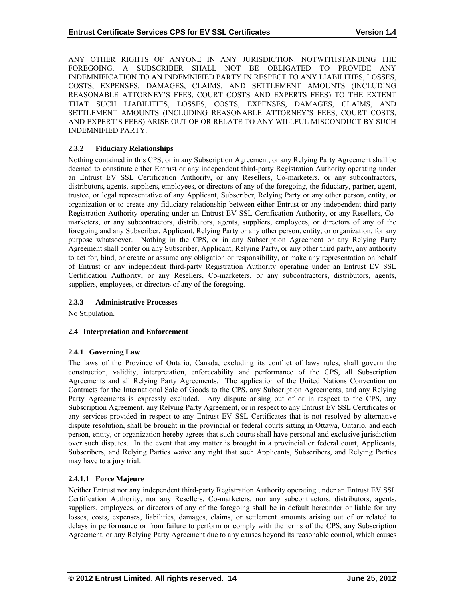ANY OTHER RIGHTS OF ANYONE IN ANY JURISDICTION. NOTWITHSTANDING THE FOREGOING, A SUBSCRIBER SHALL NOT BE OBLIGATED TO PROVIDE ANY INDEMNIFICATION TO AN INDEMNIFIED PARTY IN RESPECT TO ANY LIABILITIES, LOSSES, COSTS, EXPENSES, DAMAGES, CLAIMS, AND SETTLEMENT AMOUNTS (INCLUDING REASONABLE ATTORNEY'S FEES, COURT COSTS AND EXPERTS FEES) TO THE EXTENT THAT SUCH LIABILITIES, LOSSES, COSTS, EXPENSES, DAMAGES, CLAIMS, AND SETTLEMENT AMOUNTS (INCLUDING REASONABLE ATTORNEY'S FEES, COURT COSTS, AND EXPERT'S FEES) ARISE OUT OF OR RELATE TO ANY WILLFUL MISCONDUCT BY SUCH INDEMNIFIED PARTY.

# **2.3.2 Fiduciary Relationships**

Nothing contained in this CPS, or in any Subscription Agreement, or any Relying Party Agreement shall be deemed to constitute either Entrust or any independent third-party Registration Authority operating under an Entrust EV SSL Certification Authority, or any Resellers, Co-marketers, or any subcontractors, distributors, agents, suppliers, employees, or directors of any of the foregoing, the fiduciary, partner, agent, trustee, or legal representative of any Applicant, Subscriber, Relying Party or any other person, entity, or organization or to create any fiduciary relationship between either Entrust or any independent third-party Registration Authority operating under an Entrust EV SSL Certification Authority, or any Resellers, Comarketers, or any subcontractors, distributors, agents, suppliers, employees, or directors of any of the foregoing and any Subscriber, Applicant, Relying Party or any other person, entity, or organization, for any purpose whatsoever. Nothing in the CPS, or in any Subscription Agreement or any Relying Party Agreement shall confer on any Subscriber, Applicant, Relying Party, or any other third party, any authority to act for, bind, or create or assume any obligation or responsibility, or make any representation on behalf of Entrust or any independent third-party Registration Authority operating under an Entrust EV SSL Certification Authority, or any Resellers, Co-marketers, or any subcontractors, distributors, agents, suppliers, employees, or directors of any of the foregoing.

# **2.3.3 Administrative Processes**

No Stipulation.

# **2.4 Interpretation and Enforcement**

#### **2.4.1 Governing Law**

The laws of the Province of Ontario, Canada, excluding its conflict of laws rules, shall govern the construction, validity, interpretation, enforceability and performance of the CPS, all Subscription Agreements and all Relying Party Agreements. The application of the United Nations Convention on Contracts for the International Sale of Goods to the CPS, any Subscription Agreements, and any Relying Party Agreements is expressly excluded. Any dispute arising out of or in respect to the CPS, any Subscription Agreement, any Relying Party Agreement, or in respect to any Entrust EV SSL Certificates or any services provided in respect to any Entrust EV SSL Certificates that is not resolved by alternative dispute resolution, shall be brought in the provincial or federal courts sitting in Ottawa, Ontario, and each person, entity, or organization hereby agrees that such courts shall have personal and exclusive jurisdiction over such disputes. In the event that any matter is brought in a provincial or federal court, Applicants, Subscribers, and Relying Parties waive any right that such Applicants, Subscribers, and Relying Parties may have to a jury trial.

# **2.4.1.1 Force Majeure**

Neither Entrust nor any independent third-party Registration Authority operating under an Entrust EV SSL Certification Authority, nor any Resellers, Co-marketers, nor any subcontractors, distributors, agents, suppliers, employees, or directors of any of the foregoing shall be in default hereunder or liable for any losses, costs, expenses, liabilities, damages, claims, or settlement amounts arising out of or related to delays in performance or from failure to perform or comply with the terms of the CPS, any Subscription Agreement, or any Relying Party Agreement due to any causes beyond its reasonable control, which causes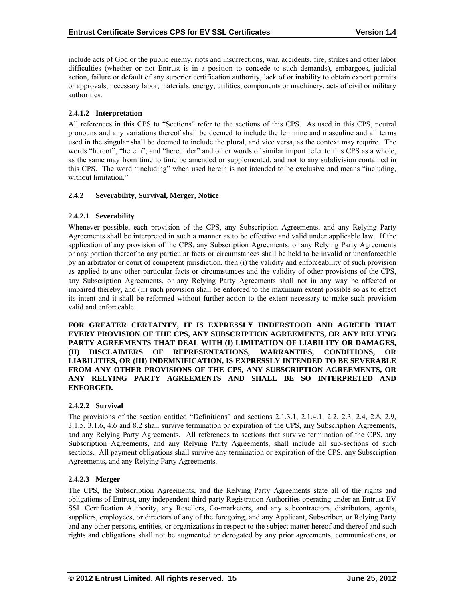include acts of God or the public enemy, riots and insurrections, war, accidents, fire, strikes and other labor difficulties (whether or not Entrust is in a position to concede to such demands), embargoes, judicial action, failure or default of any superior certification authority, lack of or inability to obtain export permits or approvals, necessary labor, materials, energy, utilities, components or machinery, acts of civil or military authorities.

# **2.4.1.2 Interpretation**

All references in this CPS to "Sections" refer to the sections of this CPS. As used in this CPS, neutral pronouns and any variations thereof shall be deemed to include the feminine and masculine and all terms used in the singular shall be deemed to include the plural, and vice versa, as the context may require. The words "hereof", "herein", and "hereunder" and other words of similar import refer to this CPS as a whole, as the same may from time to time be amended or supplemented, and not to any subdivision contained in this CPS. The word "including" when used herein is not intended to be exclusive and means "including, without limitation."

#### **2.4.2 Severability, Survival, Merger, Notice**

## **2.4.2.1 Severability**

Whenever possible, each provision of the CPS, any Subscription Agreements, and any Relying Party Agreements shall be interpreted in such a manner as to be effective and valid under applicable law. If the application of any provision of the CPS, any Subscription Agreements, or any Relying Party Agreements or any portion thereof to any particular facts or circumstances shall be held to be invalid or unenforceable by an arbitrator or court of competent jurisdiction, then (i) the validity and enforceability of such provision as applied to any other particular facts or circumstances and the validity of other provisions of the CPS, any Subscription Agreements, or any Relying Party Agreements shall not in any way be affected or impaired thereby, and (ii) such provision shall be enforced to the maximum extent possible so as to effect its intent and it shall be reformed without further action to the extent necessary to make such provision valid and enforceable.

**FOR GREATER CERTAINTY, IT IS EXPRESSLY UNDERSTOOD AND AGREED THAT EVERY PROVISION OF THE CPS, ANY SUBSCRIPTION AGREEMENTS, OR ANY RELYING PARTY AGREEMENTS THAT DEAL WITH (I) LIMITATION OF LIABILITY OR DAMAGES, (II) DISCLAIMERS OF REPRESENTATIONS, WARRANTIES, CONDITIONS, OR LIABILITIES, OR (III) INDEMNIFICATION, IS EXPRESSLY INTENDED TO BE SEVERABLE FROM ANY OTHER PROVISIONS OF THE CPS, ANY SUBSCRIPTION AGREEMENTS, OR ANY RELYING PARTY AGREEMENTS AND SHALL BE SO INTERPRETED AND ENFORCED.** 

# **2.4.2.2 Survival**

The provisions of the section entitled "Definitions" and sections 2.1.3.1, 2.1.4.1, 2.2, 2.3, 2.4, 2.8, 2.9, 3.1.5, 3.1.6, 4.6 and 8.2 shall survive termination or expiration of the CPS, any Subscription Agreements, and any Relying Party Agreements. All references to sections that survive termination of the CPS, any Subscription Agreements, and any Relying Party Agreements, shall include all sub-sections of such sections. All payment obligations shall survive any termination or expiration of the CPS, any Subscription Agreements, and any Relying Party Agreements.

#### **2.4.2.3 Merger**

The CPS, the Subscription Agreements, and the Relying Party Agreements state all of the rights and obligations of Entrust, any independent third-party Registration Authorities operating under an Entrust EV SSL Certification Authority, any Resellers, Co-marketers, and any subcontractors, distributors, agents, suppliers, employees, or directors of any of the foregoing, and any Applicant, Subscriber, or Relying Party and any other persons, entities, or organizations in respect to the subject matter hereof and thereof and such rights and obligations shall not be augmented or derogated by any prior agreements, communications, or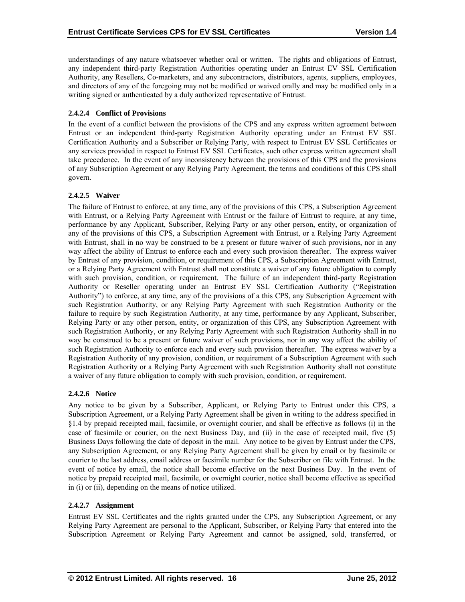understandings of any nature whatsoever whether oral or written. The rights and obligations of Entrust, any independent third-party Registration Authorities operating under an Entrust EV SSL Certification Authority, any Resellers, Co-marketers, and any subcontractors, distributors, agents, suppliers, employees, and directors of any of the foregoing may not be modified or waived orally and may be modified only in a writing signed or authenticated by a duly authorized representative of Entrust.

# **2.4.2.4 Conflict of Provisions**

In the event of a conflict between the provisions of the CPS and any express written agreement between Entrust or an independent third-party Registration Authority operating under an Entrust EV SSL Certification Authority and a Subscriber or Relying Party, with respect to Entrust EV SSL Certificates or any services provided in respect to Entrust EV SSL Certificates, such other express written agreement shall take precedence. In the event of any inconsistency between the provisions of this CPS and the provisions of any Subscription Agreement or any Relying Party Agreement, the terms and conditions of this CPS shall govern.

# **2.4.2.5 Waiver**

The failure of Entrust to enforce, at any time, any of the provisions of this CPS, a Subscription Agreement with Entrust, or a Relying Party Agreement with Entrust or the failure of Entrust to require, at any time, performance by any Applicant, Subscriber, Relying Party or any other person, entity, or organization of any of the provisions of this CPS, a Subscription Agreement with Entrust, or a Relying Party Agreement with Entrust, shall in no way be construed to be a present or future waiver of such provisions, nor in any way affect the ability of Entrust to enforce each and every such provision thereafter. The express waiver by Entrust of any provision, condition, or requirement of this CPS, a Subscription Agreement with Entrust, or a Relying Party Agreement with Entrust shall not constitute a waiver of any future obligation to comply with such provision, condition, or requirement. The failure of an independent third-party Registration Authority or Reseller operating under an Entrust EV SSL Certification Authority ("Registration Authority") to enforce, at any time, any of the provisions of a this CPS, any Subscription Agreement with such Registration Authority, or any Relying Party Agreement with such Registration Authority or the failure to require by such Registration Authority, at any time, performance by any Applicant, Subscriber, Relying Party or any other person, entity, or organization of this CPS, any Subscription Agreement with such Registration Authority, or any Relying Party Agreement with such Registration Authority shall in no way be construed to be a present or future waiver of such provisions, nor in any way affect the ability of such Registration Authority to enforce each and every such provision thereafter. The express waiver by a Registration Authority of any provision, condition, or requirement of a Subscription Agreement with such Registration Authority or a Relying Party Agreement with such Registration Authority shall not constitute a waiver of any future obligation to comply with such provision, condition, or requirement.

#### **2.4.2.6 Notice**

Any notice to be given by a Subscriber, Applicant, or Relying Party to Entrust under this CPS, a Subscription Agreement, or a Relying Party Agreement shall be given in writing to the address specified in §1.4 by prepaid receipted mail, facsimile, or overnight courier, and shall be effective as follows (i) in the case of facsimile or courier, on the next Business Day, and (ii) in the case of receipted mail, five (5) Business Days following the date of deposit in the mail. Any notice to be given by Entrust under the CPS, any Subscription Agreement, or any Relying Party Agreement shall be given by email or by facsimile or courier to the last address, email address or facsimile number for the Subscriber on file with Entrust. In the event of notice by email, the notice shall become effective on the next Business Day. In the event of notice by prepaid receipted mail, facsimile, or overnight courier, notice shall become effective as specified in (i) or (ii), depending on the means of notice utilized.

#### **2.4.2.7 Assignment**

Entrust EV SSL Certificates and the rights granted under the CPS, any Subscription Agreement, or any Relying Party Agreement are personal to the Applicant, Subscriber, or Relying Party that entered into the Subscription Agreement or Relying Party Agreement and cannot be assigned, sold, transferred, or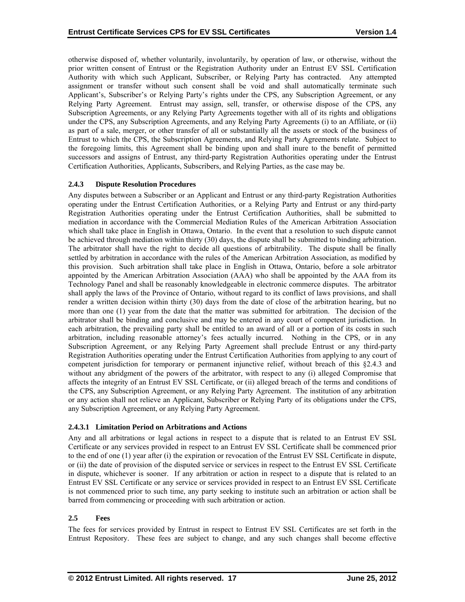otherwise disposed of, whether voluntarily, involuntarily, by operation of law, or otherwise, without the prior written consent of Entrust or the Registration Authority under an Entrust EV SSL Certification Authority with which such Applicant, Subscriber, or Relying Party has contracted. Any attempted assignment or transfer without such consent shall be void and shall automatically terminate such Applicant's, Subscriber's or Relying Party's rights under the CPS, any Subscription Agreement, or any Relying Party Agreement. Entrust may assign, sell, transfer, or otherwise dispose of the CPS, any Subscription Agreements, or any Relying Party Agreements together with all of its rights and obligations under the CPS, any Subscription Agreements, and any Relying Party Agreements (i) to an Affiliate, or (ii) as part of a sale, merger, or other transfer of all or substantially all the assets or stock of the business of Entrust to which the CPS, the Subscription Agreements, and Relying Party Agreements relate. Subject to the foregoing limits, this Agreement shall be binding upon and shall inure to the benefit of permitted successors and assigns of Entrust, any third-party Registration Authorities operating under the Entrust Certification Authorities, Applicants, Subscribers, and Relying Parties, as the case may be.

## **2.4.3 Dispute Resolution Procedures**

Any disputes between a Subscriber or an Applicant and Entrust or any third-party Registration Authorities operating under the Entrust Certification Authorities, or a Relying Party and Entrust or any third-party Registration Authorities operating under the Entrust Certification Authorities, shall be submitted to mediation in accordance with the Commercial Mediation Rules of the American Arbitration Association which shall take place in English in Ottawa, Ontario. In the event that a resolution to such dispute cannot be achieved through mediation within thirty (30) days, the dispute shall be submitted to binding arbitration. The arbitrator shall have the right to decide all questions of arbitrability. The dispute shall be finally settled by arbitration in accordance with the rules of the American Arbitration Association, as modified by this provision. Such arbitration shall take place in English in Ottawa, Ontario, before a sole arbitrator appointed by the American Arbitration Association (AAA) who shall be appointed by the AAA from its Technology Panel and shall be reasonably knowledgeable in electronic commerce disputes. The arbitrator shall apply the laws of the Province of Ontario, without regard to its conflict of laws provisions, and shall render a written decision within thirty (30) days from the date of close of the arbitration hearing, but no more than one (1) year from the date that the matter was submitted for arbitration. The decision of the arbitrator shall be binding and conclusive and may be entered in any court of competent jurisdiction. In each arbitration, the prevailing party shall be entitled to an award of all or a portion of its costs in such arbitration, including reasonable attorney's fees actually incurred. Nothing in the CPS, or in any Subscription Agreement, or any Relying Party Agreement shall preclude Entrust or any third-party Registration Authorities operating under the Entrust Certification Authorities from applying to any court of competent jurisdiction for temporary or permanent injunctive relief, without breach of this §2.4.3 and without any abridgment of the powers of the arbitrator, with respect to any (i) alleged Compromise that affects the integrity of an Entrust EV SSL Certificate, or (ii) alleged breach of the terms and conditions of the CPS, any Subscription Agreement, or any Relying Party Agreement. The institution of any arbitration or any action shall not relieve an Applicant, Subscriber or Relying Party of its obligations under the CPS, any Subscription Agreement, or any Relying Party Agreement.

# **2.4.3.1 Limitation Period on Arbitrations and Actions**

Any and all arbitrations or legal actions in respect to a dispute that is related to an Entrust EV SSL Certificate or any services provided in respect to an Entrust EV SSL Certificate shall be commenced prior to the end of one (1) year after (i) the expiration or revocation of the Entrust EV SSL Certificate in dispute, or (ii) the date of provision of the disputed service or services in respect to the Entrust EV SSL Certificate in dispute, whichever is sooner. If any arbitration or action in respect to a dispute that is related to an Entrust EV SSL Certificate or any service or services provided in respect to an Entrust EV SSL Certificate is not commenced prior to such time, any party seeking to institute such an arbitration or action shall be barred from commencing or proceeding with such arbitration or action.

#### **2.5 Fees**

The fees for services provided by Entrust in respect to Entrust EV SSL Certificates are set forth in the Entrust Repository. These fees are subject to change, and any such changes shall become effective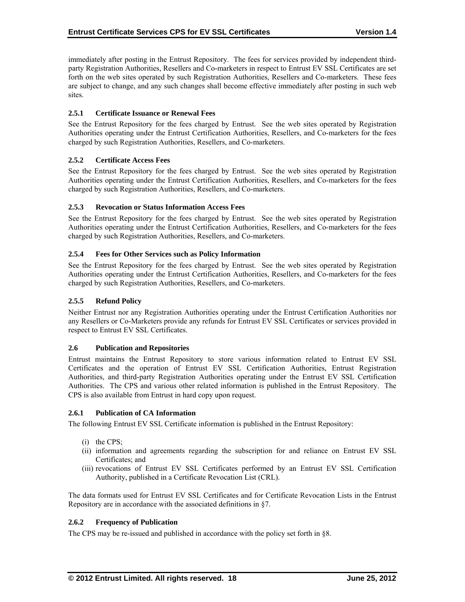immediately after posting in the Entrust Repository. The fees for services provided by independent thirdparty Registration Authorities, Resellers and Co-marketers in respect to Entrust EV SSL Certificates are set forth on the web sites operated by such Registration Authorities, Resellers and Co-marketers. These fees are subject to change, and any such changes shall become effective immediately after posting in such web sites.

## **2.5.1 Certificate Issuance or Renewal Fees**

See the Entrust Repository for the fees charged by Entrust. See the web sites operated by Registration Authorities operating under the Entrust Certification Authorities, Resellers, and Co-marketers for the fees charged by such Registration Authorities, Resellers, and Co-marketers.

# **2.5.2 Certificate Access Fees**

See the Entrust Repository for the fees charged by Entrust. See the web sites operated by Registration Authorities operating under the Entrust Certification Authorities, Resellers, and Co-marketers for the fees charged by such Registration Authorities, Resellers, and Co-marketers.

## **2.5.3 Revocation or Status Information Access Fees**

See the Entrust Repository for the fees charged by Entrust. See the web sites operated by Registration Authorities operating under the Entrust Certification Authorities, Resellers, and Co-marketers for the fees charged by such Registration Authorities, Resellers, and Co-marketers.

#### **2.5.4 Fees for Other Services such as Policy Information**

See the Entrust Repository for the fees charged by Entrust. See the web sites operated by Registration Authorities operating under the Entrust Certification Authorities, Resellers, and Co-marketers for the fees charged by such Registration Authorities, Resellers, and Co-marketers.

#### **2.5.5 Refund Policy**

Neither Entrust nor any Registration Authorities operating under the Entrust Certification Authorities nor any Resellers or Co-Marketers provide any refunds for Entrust EV SSL Certificates or services provided in respect to Entrust EV SSL Certificates.

#### **2.6 Publication and Repositories**

Entrust maintains the Entrust Repository to store various information related to Entrust EV SSL Certificates and the operation of Entrust EV SSL Certification Authorities, Entrust Registration Authorities, and third-party Registration Authorities operating under the Entrust EV SSL Certification Authorities. The CPS and various other related information is published in the Entrust Repository. The CPS is also available from Entrust in hard copy upon request.

#### **2.6.1 Publication of CA Information**

The following Entrust EV SSL Certificate information is published in the Entrust Repository:

- (i) the CPS;
- (ii) information and agreements regarding the subscription for and reliance on Entrust EV SSL Certificates; and
- (iii) revocations of Entrust EV SSL Certificates performed by an Entrust EV SSL Certification Authority, published in a Certificate Revocation List (CRL).

The data formats used for Entrust EV SSL Certificates and for Certificate Revocation Lists in the Entrust Repository are in accordance with the associated definitions in §7.

## **2.6.2 Frequency of Publication**

The CPS may be re-issued and published in accordance with the policy set forth in §8.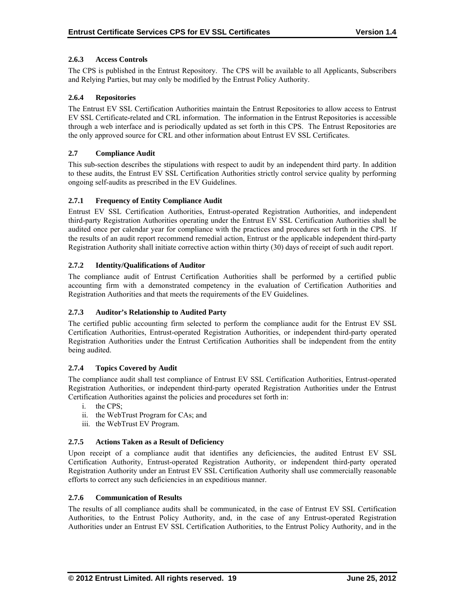# **2.6.3 Access Controls**

The CPS is published in the Entrust Repository. The CPS will be available to all Applicants, Subscribers and Relying Parties, but may only be modified by the Entrust Policy Authority.

## **2.6.4 Repositories**

The Entrust EV SSL Certification Authorities maintain the Entrust Repositories to allow access to Entrust EV SSL Certificate-related and CRL information. The information in the Entrust Repositories is accessible through a web interface and is periodically updated as set forth in this CPS. The Entrust Repositories are the only approved source for CRL and other information about Entrust EV SSL Certificates.

## **2.7 Compliance Audit**

This sub-section describes the stipulations with respect to audit by an independent third party. In addition to these audits, the Entrust EV SSL Certification Authorities strictly control service quality by performing ongoing self-audits as prescribed in the EV Guidelines.

## **2.7.1 Frequency of Entity Compliance Audit**

Entrust EV SSL Certification Authorities, Entrust-operated Registration Authorities, and independent third-party Registration Authorities operating under the Entrust EV SSL Certification Authorities shall be audited once per calendar year for compliance with the practices and procedures set forth in the CPS. If the results of an audit report recommend remedial action, Entrust or the applicable independent third-party Registration Authority shall initiate corrective action within thirty (30) days of receipt of such audit report.

## **2.7.2 Identity/Qualifications of Auditor**

The compliance audit of Entrust Certification Authorities shall be performed by a certified public accounting firm with a demonstrated competency in the evaluation of Certification Authorities and Registration Authorities and that meets the requirements of the EV Guidelines.

#### **2.7.3 Auditor's Relationship to Audited Party**

The certified public accounting firm selected to perform the compliance audit for the Entrust EV SSL Certification Authorities, Entrust-operated Registration Authorities, or independent third-party operated Registration Authorities under the Entrust Certification Authorities shall be independent from the entity being audited.

# **2.7.4 Topics Covered by Audit**

The compliance audit shall test compliance of Entrust EV SSL Certification Authorities, Entrust-operated Registration Authorities, or independent third-party operated Registration Authorities under the Entrust Certification Authorities against the policies and procedures set forth in:

- i. the CPS;
- ii. the WebTrust Program for CAs; and
- iii. the WebTrust EV Program.

#### **2.7.5 Actions Taken as a Result of Deficiency**

Upon receipt of a compliance audit that identifies any deficiencies, the audited Entrust EV SSL Certification Authority, Entrust-operated Registration Authority, or independent third-party operated Registration Authority under an Entrust EV SSL Certification Authority shall use commercially reasonable efforts to correct any such deficiencies in an expeditious manner.

#### **2.7.6 Communication of Results**

The results of all compliance audits shall be communicated, in the case of Entrust EV SSL Certification Authorities, to the Entrust Policy Authority, and, in the case of any Entrust-operated Registration Authorities under an Entrust EV SSL Certification Authorities, to the Entrust Policy Authority, and in the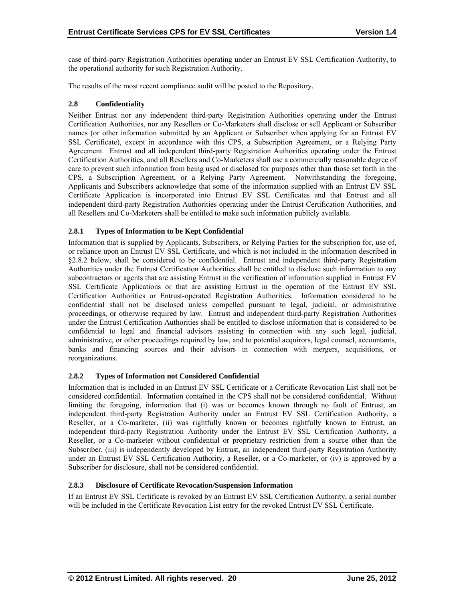case of third-party Registration Authorities operating under an Entrust EV SSL Certification Authority, to the operational authority for such Registration Authority.

The results of the most recent compliance audit will be posted to the Repository.

## **2.8 Confidentiality**

Neither Entrust nor any independent third-party Registration Authorities operating under the Entrust Certification Authorities, nor any Resellers or Co-Marketers shall disclose or sell Applicant or Subscriber names (or other information submitted by an Applicant or Subscriber when applying for an Entrust EV SSL Certificate), except in accordance with this CPS, a Subscription Agreement, or a Relying Party Agreement. Entrust and all independent third-party Registration Authorities operating under the Entrust Certification Authorities, and all Resellers and Co-Marketers shall use a commercially reasonable degree of care to prevent such information from being used or disclosed for purposes other than those set forth in the CPS, a Subscription Agreement, or a Relying Party Agreement. Notwithstanding the foregoing, Applicants and Subscribers acknowledge that some of the information supplied with an Entrust EV SSL Certificate Application is incorporated into Entrust EV SSL Certificates and that Entrust and all independent third-party Registration Authorities operating under the Entrust Certification Authorities, and all Resellers and Co-Marketers shall be entitled to make such information publicly available.

## **2.8.1 Types of Information to be Kept Confidential**

Information that is supplied by Applicants, Subscribers, or Relying Parties for the subscription for, use of, or reliance upon an Entrust EV SSL Certificate, and which is not included in the information described in §2.8.2 below, shall be considered to be confidential. Entrust and independent third-party Registration Authorities under the Entrust Certification Authorities shall be entitled to disclose such information to any subcontractors or agents that are assisting Entrust in the verification of information supplied in Entrust EV SSL Certificate Applications or that are assisting Entrust in the operation of the Entrust EV SSL Certification Authorities or Entrust-operated Registration Authorities. Information considered to be confidential shall not be disclosed unless compelled pursuant to legal, judicial, or administrative proceedings, or otherwise required by law. Entrust and independent third-party Registration Authorities under the Entrust Certification Authorities shall be entitled to disclose information that is considered to be confidential to legal and financial advisors assisting in connection with any such legal, judicial, administrative, or other proceedings required by law, and to potential acquirors, legal counsel, accountants, banks and financing sources and their advisors in connection with mergers, acquisitions, or reorganizations.

# **2.8.2 Types of Information not Considered Confidential**

Information that is included in an Entrust EV SSL Certificate or a Certificate Revocation List shall not be considered confidential. Information contained in the CPS shall not be considered confidential. Without limiting the foregoing, information that (i) was or becomes known through no fault of Entrust, an independent third-party Registration Authority under an Entrust EV SSL Certification Authority, a Reseller, or a Co-marketer, (ii) was rightfully known or becomes rightfully known to Entrust, an independent third-party Registration Authority under the Entrust EV SSL Certification Authority, a Reseller, or a Co-marketer without confidential or proprietary restriction from a source other than the Subscriber, (iii) is independently developed by Entrust, an independent third-party Registration Authority under an Entrust EV SSL Certification Authority, a Reseller, or a Co-marketer, or (iv) is approved by a Subscriber for disclosure, shall not be considered confidential.

## **2.8.3 Disclosure of Certificate Revocation/Suspension Information**

If an Entrust EV SSL Certificate is revoked by an Entrust EV SSL Certification Authority, a serial number will be included in the Certificate Revocation List entry for the revoked Entrust EV SSL Certificate.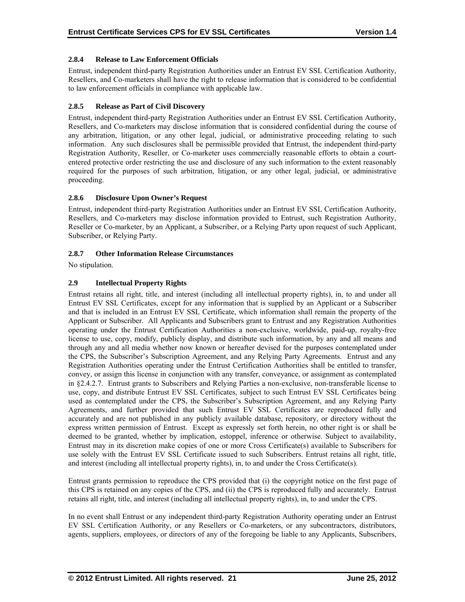# **2.8.4 Release to Law Enforcement Officials**

Entrust, independent third-party Registration Authorities under an Entrust EV SSL Certification Authority, Resellers, and Co-marketers shall have the right to release information that is considered to be confidential to law enforcement officials in compliance with applicable law.

# **2.8.5 Release as Part of Civil Discovery**

Entrust, independent third-party Registration Authorities under an Entrust EV SSL Certification Authority, Resellers, and Co-marketers may disclose information that is considered confidential during the course of any arbitration, litigation, or any other legal, judicial, or administrative proceeding relating to such information. Any such disclosures shall be permissible provided that Entrust, the independent third-party Registration Authority, Reseller, or Co-marketer uses commercially reasonable efforts to obtain a courtentered protective order restricting the use and disclosure of any such information to the extent reasonably required for the purposes of such arbitration, litigation, or any other legal, judicial, or administrative proceeding.

## **2.8.6 Disclosure Upon Owner's Request**

Entrust, independent third-party Registration Authorities under an Entrust EV SSL Certification Authority, Resellers, and Co-marketers may disclose information provided to Entrust, such Registration Authority, Reseller or Co-marketer, by an Applicant, a Subscriber, or a Relying Party upon request of such Applicant, Subscriber, or Relying Party.

#### **2.8.7 Other Information Release Circumstances**

No stipulation.

## **2.9 Intellectual Property Rights**

Entrust retains all right, title, and interest (including all intellectual property rights), in, to and under all Entrust EV SSL Certificates, except for any information that is supplied by an Applicant or a Subscriber and that is included in an Entrust EV SSL Certificate, which information shall remain the property of the Applicant or Subscriber. All Applicants and Subscribers grant to Entrust and any Registration Authorities operating under the Entrust Certification Authorities a non-exclusive, worldwide, paid-up, royalty-free license to use, copy, modify, publicly display, and distribute such information, by any and all means and through any and all media whether now known or hereafter devised for the purposes contemplated under the CPS, the Subscriber's Subscription Agreement, and any Relying Party Agreements. Entrust and any Registration Authorities operating under the Entrust Certification Authorities shall be entitled to transfer, convey, or assign this license in conjunction with any transfer, conveyance, or assignment as contemplated in §2.4.2.7. Entrust grants to Subscribers and Relying Parties a non-exclusive, non-transferable license to use, copy, and distribute Entrust EV SSL Certificates, subject to such Entrust EV SSL Certificates being used as contemplated under the CPS, the Subscriber's Subscription Agreement, and any Relying Party Agreements, and further provided that such Entrust EV SSL Certificates are reproduced fully and accurately and are not published in any publicly available database, repository, or directory without the express written permission of Entrust. Except as expressly set forth herein, no other right is or shall be deemed to be granted, whether by implication, estoppel, inference or otherwise. Subject to availability, Entrust may in its discretion make copies of one or more Cross Certificate(s) available to Subscribers for use solely with the Entrust EV SSL Certificate issued to such Subscribers. Entrust retains all right, title, and interest (including all intellectual property rights), in, to and under the Cross Certificate(s).

Entrust grants permission to reproduce the CPS provided that (i) the copyright notice on the first page of this CPS is retained on any copies of the CPS, and (ii) the CPS is reproduced fully and accurately. Entrust retains all right, title, and interest (including all intellectual property rights), in, to and under the CPS.

In no event shall Entrust or any independent third-party Registration Authority operating under an Entrust EV SSL Certification Authority, or any Resellers or Co-marketers, or any subcontractors, distributors, agents, suppliers, employees, or directors of any of the foregoing be liable to any Applicants, Subscribers,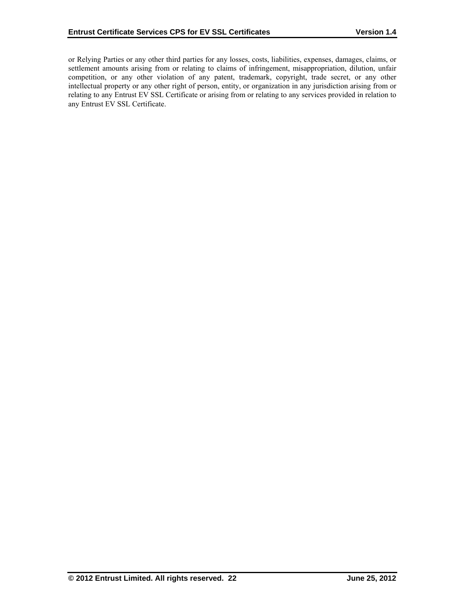or Relying Parties or any other third parties for any losses, costs, liabilities, expenses, damages, claims, or settlement amounts arising from or relating to claims of infringement, misappropriation, dilution, unfair competition, or any other violation of any patent, trademark, copyright, trade secret, or any other intellectual property or any other right of person, entity, or organization in any jurisdiction arising from or relating to any Entrust EV SSL Certificate or arising from or relating to any services provided in relation to any Entrust EV SSL Certificate.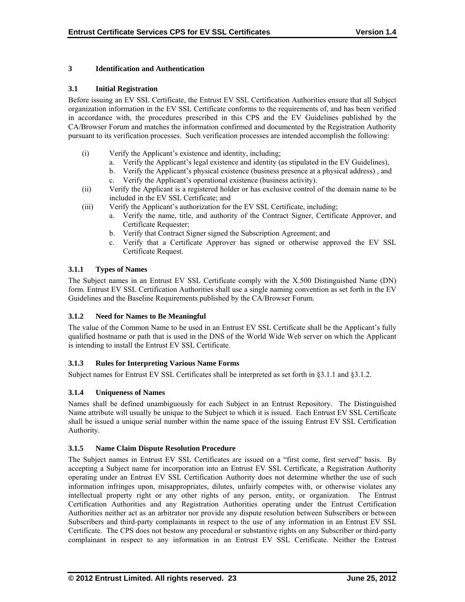# **3 Identification and Authentication**

#### **3.1 Initial Registration**

Before issuing an EV SSL Certificate, the Entrust EV SSL Certification Authorities ensure that all Subject organization information in the EV SSL Certificate conforms to the requirements of, and has been verified in accordance with, the procedures prescribed in this CPS and the EV Guidelines published by the CA/Browser Forum and matches the information confirmed and documented by the Registration Authority pursuant to its verification processes. Such verification processes are intended accomplish the following:

- (i) Verify the Applicant's existence and identity, including;
	- a. Verify the Applicant's legal existence and identity (as stipulated in the EV Guidelines),
	- b. Verify the Applicant's physical existence (business presence at a physical address) , and
	- c. Verify the Applicant's operational existence (business activity).
- (ii) Verify the Applicant is a registered holder or has exclusive control of the domain name to be included in the EV SSL Certificate; and
- (iii) Verify the Applicant's authorization for the EV SSL Certificate, including;
	- a. Verify the name, title, and authority of the Contract Signer, Certificate Approver, and Certificate Requester;
	- b. Verify that Contract Signer signed the Subscription Agreement; and
	- c. Verify that a Certificate Approver has signed or otherwise approved the EV SSL Certificate Request.

## **3.1.1 Types of Names**

The Subject names in an Entrust EV SSL Certificate comply with the X.500 Distinguished Name (DN) form. Entrust EV SSL Certification Authorities shall use a single naming convention as set forth in the EV Guidelines and the Baseline Requirements published by the CA/Browser Forum.

# **3.1.2 Need for Names to Be Meaningful**

The value of the Common Name to be used in an Entrust EV SSL Certificate shall be the Applicant's fully qualified hostname or path that is used in the DNS of the World Wide Web server on which the Applicant is intending to install the Entrust EV SSL Certificate.

# **3.1.3 Rules for Interpreting Various Name Forms**

Subject names for Entrust EV SSL Certificates shall be interpreted as set forth in §3.1.1 and §3.1.2.

# **3.1.4 Uniqueness of Names**

Names shall be defined unambiguously for each Subject in an Entrust Repository. The Distinguished Name attribute will usually be unique to the Subject to which it is issued. Each Entrust EV SSL Certificate shall be issued a unique serial number within the name space of the issuing Entrust EV SSL Certification Authority.

#### **3.1.5 Name Claim Dispute Resolution Procedure**

The Subject names in Entrust EV SSL Certificates are issued on a "first come, first served" basis. By accepting a Subject name for incorporation into an Entrust EV SSL Certificate, a Registration Authority operating under an Entrust EV SSL Certification Authority does not determine whether the use of such information infringes upon, misappropriates, dilutes, unfairly competes with, or otherwise violates any intellectual property right or any other rights of any person, entity, or organization. The Entrust Certification Authorities and any Registration Authorities operating under the Entrust Certification Authorities neither act as an arbitrator nor provide any dispute resolution between Subscribers or between Subscribers and third-party complainants in respect to the use of any information in an Entrust EV SSL Certificate. The CPS does not bestow any procedural or substantive rights on any Subscriber or third-party complainant in respect to any information in an Entrust EV SSL Certificate. Neither the Entrust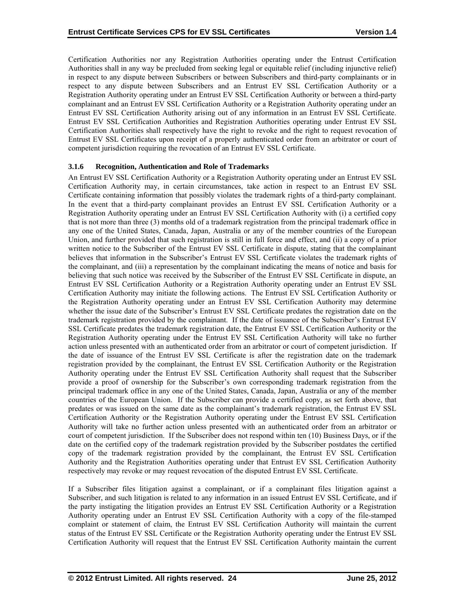Certification Authorities nor any Registration Authorities operating under the Entrust Certification Authorities shall in any way be precluded from seeking legal or equitable relief (including injunctive relief) in respect to any dispute between Subscribers or between Subscribers and third-party complainants or in respect to any dispute between Subscribers and an Entrust EV SSL Certification Authority or a Registration Authority operating under an Entrust EV SSL Certification Authority or between a third-party complainant and an Entrust EV SSL Certification Authority or a Registration Authority operating under an Entrust EV SSL Certification Authority arising out of any information in an Entrust EV SSL Certificate. Entrust EV SSL Certification Authorities and Registration Authorities operating under Entrust EV SSL Certification Authorities shall respectively have the right to revoke and the right to request revocation of Entrust EV SSL Certificates upon receipt of a properly authenticated order from an arbitrator or court of competent jurisdiction requiring the revocation of an Entrust EV SSL Certificate.

#### **3.1.6 Recognition, Authentication and Role of Trademarks**

An Entrust EV SSL Certification Authority or a Registration Authority operating under an Entrust EV SSL Certification Authority may, in certain circumstances, take action in respect to an Entrust EV SSL Certificate containing information that possibly violates the trademark rights of a third-party complainant. In the event that a third-party complainant provides an Entrust EV SSL Certification Authority or a Registration Authority operating under an Entrust EV SSL Certification Authority with (i) a certified copy that is not more than three (3) months old of a trademark registration from the principal trademark office in any one of the United States, Canada, Japan, Australia or any of the member countries of the European Union, and further provided that such registration is still in full force and effect, and (ii) a copy of a prior written notice to the Subscriber of the Entrust EV SSL Certificate in dispute, stating that the complainant believes that information in the Subscriber's Entrust EV SSL Certificate violates the trademark rights of the complainant, and (iii) a representation by the complainant indicating the means of notice and basis for believing that such notice was received by the Subscriber of the Entrust EV SSL Certificate in dispute, an Entrust EV SSL Certification Authority or a Registration Authority operating under an Entrust EV SSL Certification Authority may initiate the following actions. The Entrust EV SSL Certification Authority or the Registration Authority operating under an Entrust EV SSL Certification Authority may determine whether the issue date of the Subscriber's Entrust EV SSL Certificate predates the registration date on the trademark registration provided by the complainant. If the date of issuance of the Subscriber's Entrust EV SSL Certificate predates the trademark registration date, the Entrust EV SSL Certification Authority or the Registration Authority operating under the Entrust EV SSL Certification Authority will take no further action unless presented with an authenticated order from an arbitrator or court of competent jurisdiction. If the date of issuance of the Entrust EV SSL Certificate is after the registration date on the trademark registration provided by the complainant, the Entrust EV SSL Certification Authority or the Registration Authority operating under the Entrust EV SSL Certification Authority shall request that the Subscriber provide a proof of ownership for the Subscriber's own corresponding trademark registration from the principal trademark office in any one of the United States, Canada, Japan, Australia or any of the member countries of the European Union. If the Subscriber can provide a certified copy, as set forth above, that predates or was issued on the same date as the complainant's trademark registration, the Entrust EV SSL Certification Authority or the Registration Authority operating under the Entrust EV SSL Certification Authority will take no further action unless presented with an authenticated order from an arbitrator or court of competent jurisdiction. If the Subscriber does not respond within ten (10) Business Days, or if the date on the certified copy of the trademark registration provided by the Subscriber postdates the certified copy of the trademark registration provided by the complainant, the Entrust EV SSL Certification Authority and the Registration Authorities operating under that Entrust EV SSL Certification Authority respectively may revoke or may request revocation of the disputed Entrust EV SSL Certificate.

If a Subscriber files litigation against a complainant, or if a complainant files litigation against a Subscriber, and such litigation is related to any information in an issued Entrust EV SSL Certificate, and if the party instigating the litigation provides an Entrust EV SSL Certification Authority or a Registration Authority operating under an Entrust EV SSL Certification Authority with a copy of the file-stamped complaint or statement of claim, the Entrust EV SSL Certification Authority will maintain the current status of the Entrust EV SSL Certificate or the Registration Authority operating under the Entrust EV SSL Certification Authority will request that the Entrust EV SSL Certification Authority maintain the current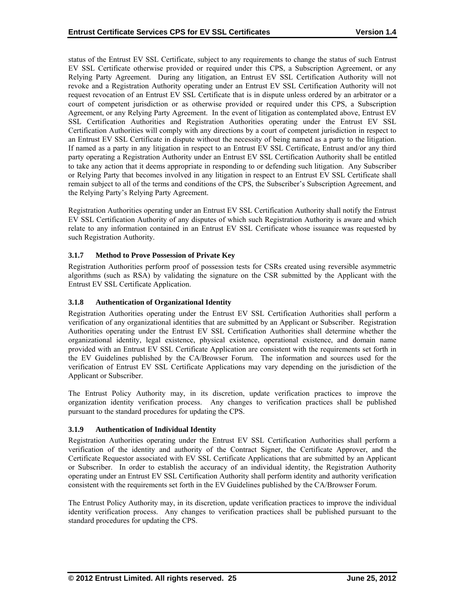status of the Entrust EV SSL Certificate, subject to any requirements to change the status of such Entrust EV SSL Certificate otherwise provided or required under this CPS, a Subscription Agreement, or any Relying Party Agreement. During any litigation, an Entrust EV SSL Certification Authority will not revoke and a Registration Authority operating under an Entrust EV SSL Certification Authority will not request revocation of an Entrust EV SSL Certificate that is in dispute unless ordered by an arbitrator or a court of competent jurisdiction or as otherwise provided or required under this CPS, a Subscription Agreement, or any Relying Party Agreement. In the event of litigation as contemplated above, Entrust EV SSL Certification Authorities and Registration Authorities operating under the Entrust EV SSL Certification Authorities will comply with any directions by a court of competent jurisdiction in respect to an Entrust EV SSL Certificate in dispute without the necessity of being named as a party to the litigation. If named as a party in any litigation in respect to an Entrust EV SSL Certificate, Entrust and/or any third party operating a Registration Authority under an Entrust EV SSL Certification Authority shall be entitled to take any action that it deems appropriate in responding to or defending such litigation. Any Subscriber or Relying Party that becomes involved in any litigation in respect to an Entrust EV SSL Certificate shall remain subject to all of the terms and conditions of the CPS, the Subscriber's Subscription Agreement, and the Relying Party's Relying Party Agreement.

Registration Authorities operating under an Entrust EV SSL Certification Authority shall notify the Entrust EV SSL Certification Authority of any disputes of which such Registration Authority is aware and which relate to any information contained in an Entrust EV SSL Certificate whose issuance was requested by such Registration Authority.

# **3.1.7 Method to Prove Possession of Private Key**

Registration Authorities perform proof of possession tests for CSRs created using reversible asymmetric algorithms (such as RSA) by validating the signature on the CSR submitted by the Applicant with the Entrust EV SSL Certificate Application.

#### **3.1.8 Authentication of Organizational Identity**

Registration Authorities operating under the Entrust EV SSL Certification Authorities shall perform a verification of any organizational identities that are submitted by an Applicant or Subscriber. Registration Authorities operating under the Entrust EV SSL Certification Authorities shall determine whether the organizational identity, legal existence, physical existence, operational existence, and domain name provided with an Entrust EV SSL Certificate Application are consistent with the requirements set forth in the EV Guidelines published by the CA/Browser Forum. The information and sources used for the verification of Entrust EV SSL Certificate Applications may vary depending on the jurisdiction of the Applicant or Subscriber.

The Entrust Policy Authority may, in its discretion, update verification practices to improve the organization identity verification process. Any changes to verification practices shall be published pursuant to the standard procedures for updating the CPS.

#### **3.1.9 Authentication of Individual Identity**

Registration Authorities operating under the Entrust EV SSL Certification Authorities shall perform a verification of the identity and authority of the Contract Signer, the Certificate Approver, and the Certificate Requestor associated with EV SSL Certificate Applications that are submitted by an Applicant or Subscriber. In order to establish the accuracy of an individual identity, the Registration Authority operating under an Entrust EV SSL Certification Authority shall perform identity and authority verification consistent with the requirements set forth in the EV Guidelines published by the CA/Browser Forum.

The Entrust Policy Authority may, in its discretion, update verification practices to improve the individual identity verification process. Any changes to verification practices shall be published pursuant to the standard procedures for updating the CPS.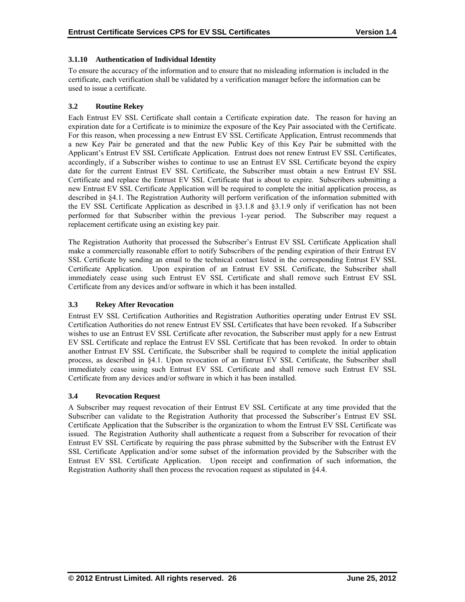# **3.1.10 Authentication of Individual Identity**

To ensure the accuracy of the information and to ensure that no misleading information is included in the certificate, each verification shall be validated by a verification manager before the information can be used to issue a certificate.

# **3.2 Routine Rekey**

Each Entrust EV SSL Certificate shall contain a Certificate expiration date. The reason for having an expiration date for a Certificate is to minimize the exposure of the Key Pair associated with the Certificate. For this reason, when processing a new Entrust EV SSL Certificate Application, Entrust recommends that a new Key Pair be generated and that the new Public Key of this Key Pair be submitted with the Applicant's Entrust EV SSL Certificate Application. Entrust does not renew Entrust EV SSL Certificates, accordingly, if a Subscriber wishes to continue to use an Entrust EV SSL Certificate beyond the expiry date for the current Entrust EV SSL Certificate, the Subscriber must obtain a new Entrust EV SSL Certificate and replace the Entrust EV SSL Certificate that is about to expire. Subscribers submitting a new Entrust EV SSL Certificate Application will be required to complete the initial application process, as described in §4.1. The Registration Authority will perform verification of the information submitted with the EV SSL Certificate Application as described in §3.1.8 and §3.1.9 only if verification has not been performed for that Subscriber within the previous 1-year period. The Subscriber may request a replacement certificate using an existing key pair.

The Registration Authority that processed the Subscriber's Entrust EV SSL Certificate Application shall make a commercially reasonable effort to notify Subscribers of the pending expiration of their Entrust EV SSL Certificate by sending an email to the technical contact listed in the corresponding Entrust EV SSL Certificate Application. Upon expiration of an Entrust EV SSL Certificate, the Subscriber shall immediately cease using such Entrust EV SSL Certificate and shall remove such Entrust EV SSL Certificate from any devices and/or software in which it has been installed.

# **3.3 Rekey After Revocation**

Entrust EV SSL Certification Authorities and Registration Authorities operating under Entrust EV SSL Certification Authorities do not renew Entrust EV SSL Certificates that have been revoked. If a Subscriber wishes to use an Entrust EV SSL Certificate after revocation, the Subscriber must apply for a new Entrust EV SSL Certificate and replace the Entrust EV SSL Certificate that has been revoked. In order to obtain another Entrust EV SSL Certificate, the Subscriber shall be required to complete the initial application process, as described in §4.1. Upon revocation of an Entrust EV SSL Certificate, the Subscriber shall immediately cease using such Entrust EV SSL Certificate and shall remove such Entrust EV SSL Certificate from any devices and/or software in which it has been installed.

# **3.4 Revocation Request**

A Subscriber may request revocation of their Entrust EV SSL Certificate at any time provided that the Subscriber can validate to the Registration Authority that processed the Subscriber's Entrust EV SSL Certificate Application that the Subscriber is the organization to whom the Entrust EV SSL Certificate was issued. The Registration Authority shall authenticate a request from a Subscriber for revocation of their Entrust EV SSL Certificate by requiring the pass phrase submitted by the Subscriber with the Entrust EV SSL Certificate Application and/or some subset of the information provided by the Subscriber with the Entrust EV SSL Certificate Application. Upon receipt and confirmation of such information, the Registration Authority shall then process the revocation request as stipulated in §4.4.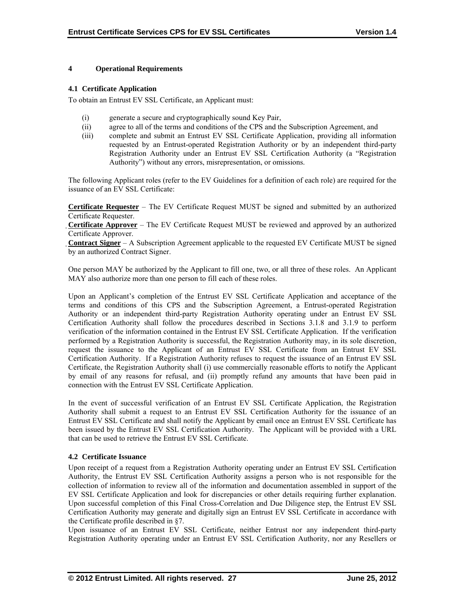## **4 Operational Requirements**

#### **4.1 Certificate Application**

To obtain an Entrust EV SSL Certificate, an Applicant must:

- (i) generate a secure and cryptographically sound Key Pair,
- (ii) agree to all of the terms and conditions of the CPS and the Subscription Agreement, and
- (iii) complete and submit an Entrust EV SSL Certificate Application, providing all information requested by an Entrust-operated Registration Authority or by an independent third-party Registration Authority under an Entrust EV SSL Certification Authority (a "Registration Authority") without any errors, misrepresentation, or omissions.

The following Applicant roles (refer to the EV Guidelines for a definition of each role) are required for the issuance of an EV SSL Certificate:

**Certificate Requester** – The EV Certificate Request MUST be signed and submitted by an authorized Certificate Requester.

**Certificate Approver** – The EV Certificate Request MUST be reviewed and approved by an authorized Certificate Approver.

**Contract Signer** – A Subscription Agreement applicable to the requested EV Certificate MUST be signed by an authorized Contract Signer.

One person MAY be authorized by the Applicant to fill one, two, or all three of these roles. An Applicant MAY also authorize more than one person to fill each of these roles.

Upon an Applicant's completion of the Entrust EV SSL Certificate Application and acceptance of the terms and conditions of this CPS and the Subscription Agreement, a Entrust-operated Registration Authority or an independent third-party Registration Authority operating under an Entrust EV SSL Certification Authority shall follow the procedures described in Sections 3.1.8 and 3.1.9 to perform verification of the information contained in the Entrust EV SSL Certificate Application. If the verification performed by a Registration Authority is successful, the Registration Authority may, in its sole discretion, request the issuance to the Applicant of an Entrust EV SSL Certificate from an Entrust EV SSL Certification Authority. If a Registration Authority refuses to request the issuance of an Entrust EV SSL Certificate, the Registration Authority shall (i) use commercially reasonable efforts to notify the Applicant by email of any reasons for refusal, and (ii) promptly refund any amounts that have been paid in connection with the Entrust EV SSL Certificate Application.

In the event of successful verification of an Entrust EV SSL Certificate Application, the Registration Authority shall submit a request to an Entrust EV SSL Certification Authority for the issuance of an Entrust EV SSL Certificate and shall notify the Applicant by email once an Entrust EV SSL Certificate has been issued by the Entrust EV SSL Certification Authority. The Applicant will be provided with a URL that can be used to retrieve the Entrust EV SSL Certificate.

#### **4.2 Certificate Issuance**

Upon receipt of a request from a Registration Authority operating under an Entrust EV SSL Certification Authority, the Entrust EV SSL Certification Authority assigns a person who is not responsible for the collection of information to review all of the information and documentation assembled in support of the EV SSL Certificate Application and look for discrepancies or other details requiring further explanation. Upon successful completion of this Final Cross-Correlation and Due Diligence step, the Entrust EV SSL Certification Authority may generate and digitally sign an Entrust EV SSL Certificate in accordance with the Certificate profile described in §7.

Upon issuance of an Entrust EV SSL Certificate, neither Entrust nor any independent third-party Registration Authority operating under an Entrust EV SSL Certification Authority, nor any Resellers or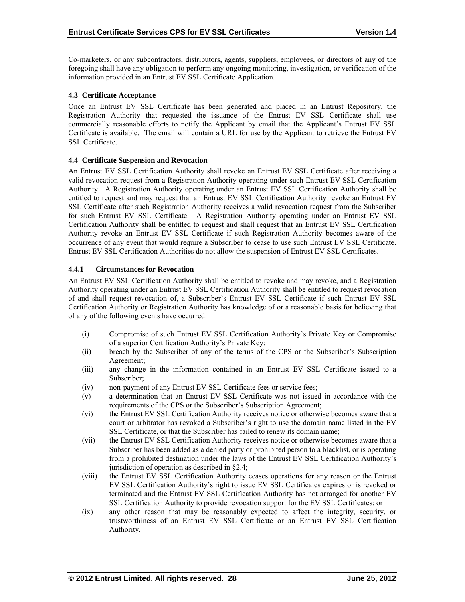Co-marketers, or any subcontractors, distributors, agents, suppliers, employees, or directors of any of the foregoing shall have any obligation to perform any ongoing monitoring, investigation, or verification of the information provided in an Entrust EV SSL Certificate Application.

# **4.3 Certificate Acceptance**

Once an Entrust EV SSL Certificate has been generated and placed in an Entrust Repository, the Registration Authority that requested the issuance of the Entrust EV SSL Certificate shall use commercially reasonable efforts to notify the Applicant by email that the Applicant's Entrust EV SSL Certificate is available. The email will contain a URL for use by the Applicant to retrieve the Entrust EV SSL Certificate.

## **4.4 Certificate Suspension and Revocation**

An Entrust EV SSL Certification Authority shall revoke an Entrust EV SSL Certificate after receiving a valid revocation request from a Registration Authority operating under such Entrust EV SSL Certification Authority. A Registration Authority operating under an Entrust EV SSL Certification Authority shall be entitled to request and may request that an Entrust EV SSL Certification Authority revoke an Entrust EV SSL Certificate after such Registration Authority receives a valid revocation request from the Subscriber for such Entrust EV SSL Certificate. A Registration Authority operating under an Entrust EV SSL Certification Authority shall be entitled to request and shall request that an Entrust EV SSL Certification Authority revoke an Entrust EV SSL Certificate if such Registration Authority becomes aware of the occurrence of any event that would require a Subscriber to cease to use such Entrust EV SSL Certificate. Entrust EV SSL Certification Authorities do not allow the suspension of Entrust EV SSL Certificates.

## **4.4.1 Circumstances for Revocation**

An Entrust EV SSL Certification Authority shall be entitled to revoke and may revoke, and a Registration Authority operating under an Entrust EV SSL Certification Authority shall be entitled to request revocation of and shall request revocation of, a Subscriber's Entrust EV SSL Certificate if such Entrust EV SSL Certification Authority or Registration Authority has knowledge of or a reasonable basis for believing that of any of the following events have occurred:

- (i) Compromise of such Entrust EV SSL Certification Authority's Private Key or Compromise of a superior Certification Authority's Private Key;
- (ii) breach by the Subscriber of any of the terms of the CPS or the Subscriber's Subscription Agreement;
- (iii) any change in the information contained in an Entrust EV SSL Certificate issued to a Subscriber;
- (iv) non-payment of any Entrust EV SSL Certificate fees or service fees;
- (v) a determination that an Entrust EV SSL Certificate was not issued in accordance with the requirements of the CPS or the Subscriber's Subscription Agreement;
- (vi) the Entrust EV SSL Certification Authority receives notice or otherwise becomes aware that a court or arbitrator has revoked a Subscriber's right to use the domain name listed in the EV SSL Certificate, or that the Subscriber has failed to renew its domain name;
- (vii) the Entrust EV SSL Certification Authority receives notice or otherwise becomes aware that a Subscriber has been added as a denied party or prohibited person to a blacklist, or is operating from a prohibited destination under the laws of the Entrust EV SSL Certification Authority's jurisdiction of operation as described in §2.4;
- (viii) the Entrust EV SSL Certification Authority ceases operations for any reason or the Entrust EV SSL Certification Authority's right to issue EV SSL Certificates expires or is revoked or terminated and the Entrust EV SSL Certification Authority has not arranged for another EV SSL Certification Authority to provide revocation support for the EV SSL Certificates; or
- (ix) any other reason that may be reasonably expected to affect the integrity, security, or trustworthiness of an Entrust EV SSL Certificate or an Entrust EV SSL Certification Authority.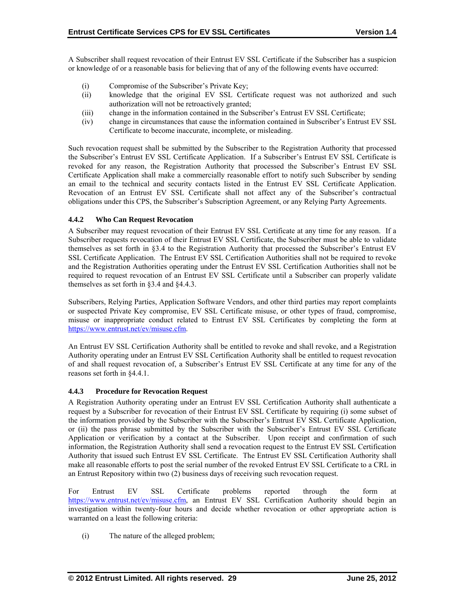A Subscriber shall request revocation of their Entrust EV SSL Certificate if the Subscriber has a suspicion or knowledge of or a reasonable basis for believing that of any of the following events have occurred:

- (i) Compromise of the Subscriber's Private Key;
- (ii) knowledge that the original EV SSL Certificate request was not authorized and such authorization will not be retroactively granted;
- (iii) change in the information contained in the Subscriber's Entrust EV SSL Certificate;
- (iv) change in circumstances that cause the information contained in Subscriber's Entrust EV SSL Certificate to become inaccurate, incomplete, or misleading.

Such revocation request shall be submitted by the Subscriber to the Registration Authority that processed the Subscriber's Entrust EV SSL Certificate Application. If a Subscriber's Entrust EV SSL Certificate is revoked for any reason, the Registration Authority that processed the Subscriber's Entrust EV SSL Certificate Application shall make a commercially reasonable effort to notify such Subscriber by sending an email to the technical and security contacts listed in the Entrust EV SSL Certificate Application. Revocation of an Entrust EV SSL Certificate shall not affect any of the Subscriber's contractual obligations under this CPS, the Subscriber's Subscription Agreement, or any Relying Party Agreements.

## **4.4.2 Who Can Request Revocation**

A Subscriber may request revocation of their Entrust EV SSL Certificate at any time for any reason. If a Subscriber requests revocation of their Entrust EV SSL Certificate, the Subscriber must be able to validate themselves as set forth in §3.4 to the Registration Authority that processed the Subscriber's Entrust EV SSL Certificate Application. The Entrust EV SSL Certification Authorities shall not be required to revoke and the Registration Authorities operating under the Entrust EV SSL Certification Authorities shall not be required to request revocation of an Entrust EV SSL Certificate until a Subscriber can properly validate themselves as set forth in §3.4 and §4.4.3.

Subscribers, Relying Parties, Application Software Vendors, and other third parties may report complaints or suspected Private Key compromise, EV SSL Certificate misuse, or other types of fraud, compromise, misuse or inappropriate conduct related to Entrust EV SSL Certificates by completing the form at https://www.entrust.net/ev/misuse.cfm.

An Entrust EV SSL Certification Authority shall be entitled to revoke and shall revoke, and a Registration Authority operating under an Entrust EV SSL Certification Authority shall be entitled to request revocation of and shall request revocation of, a Subscriber's Entrust EV SSL Certificate at any time for any of the reasons set forth in §4.4.1.

#### **4.4.3 Procedure for Revocation Request**

A Registration Authority operating under an Entrust EV SSL Certification Authority shall authenticate a request by a Subscriber for revocation of their Entrust EV SSL Certificate by requiring (i) some subset of the information provided by the Subscriber with the Subscriber's Entrust EV SSL Certificate Application, or (ii) the pass phrase submitted by the Subscriber with the Subscriber's Entrust EV SSL Certificate Application or verification by a contact at the Subscriber. Upon receipt and confirmation of such information, the Registration Authority shall send a revocation request to the Entrust EV SSL Certification Authority that issued such Entrust EV SSL Certificate. The Entrust EV SSL Certification Authority shall make all reasonable efforts to post the serial number of the revoked Entrust EV SSL Certificate to a CRL in an Entrust Repository within two (2) business days of receiving such revocation request.

For Entrust EV SSL Certificate problems reported through the form at https://www.entrust.net/ev/misuse.cfm, an Entrust EV SSL Certification Authority should begin an investigation within twenty-four hours and decide whether revocation or other appropriate action is warranted on a least the following criteria:

(i) The nature of the alleged problem;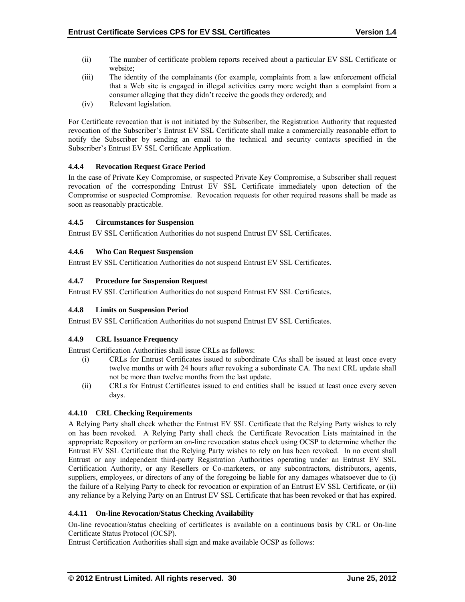- (ii) The number of certificate problem reports received about a particular EV SSL Certificate or website;
- (iii) The identity of the complainants (for example, complaints from a law enforcement official that a Web site is engaged in illegal activities carry more weight than a complaint from a consumer alleging that they didn't receive the goods they ordered); and
- (iv) Relevant legislation.

For Certificate revocation that is not initiated by the Subscriber, the Registration Authority that requested revocation of the Subscriber's Entrust EV SSL Certificate shall make a commercially reasonable effort to notify the Subscriber by sending an email to the technical and security contacts specified in the Subscriber's Entrust EV SSL Certificate Application.

## **4.4.4 Revocation Request Grace Period**

In the case of Private Key Compromise, or suspected Private Key Compromise, a Subscriber shall request revocation of the corresponding Entrust EV SSL Certificate immediately upon detection of the Compromise or suspected Compromise. Revocation requests for other required reasons shall be made as soon as reasonably practicable.

## **4.4.5 Circumstances for Suspension**

Entrust EV SSL Certification Authorities do not suspend Entrust EV SSL Certificates.

## **4.4.6 Who Can Request Suspension**

Entrust EV SSL Certification Authorities do not suspend Entrust EV SSL Certificates.

## **4.4.7 Procedure for Suspension Request**

Entrust EV SSL Certification Authorities do not suspend Entrust EV SSL Certificates.

#### **4.4.8 Limits on Suspension Period**

Entrust EV SSL Certification Authorities do not suspend Entrust EV SSL Certificates.

#### **4.4.9 CRL Issuance Frequency**

Entrust Certification Authorities shall issue CRLs as follows:

- (i) CRLs for Entrust Certificates issued to subordinate CAs shall be issued at least once every twelve months or with 24 hours after revoking a subordinate CA. The next CRL update shall not be more than twelve months from the last update.
- (ii) CRLs for Entrust Certificates issued to end entities shall be issued at least once every seven days.

#### **4.4.10 CRL Checking Requirements**

A Relying Party shall check whether the Entrust EV SSL Certificate that the Relying Party wishes to rely on has been revoked. A Relying Party shall check the Certificate Revocation Lists maintained in the appropriate Repository or perform an on-line revocation status check using OCSP to determine whether the Entrust EV SSL Certificate that the Relying Party wishes to rely on has been revoked. In no event shall Entrust or any independent third-party Registration Authorities operating under an Entrust EV SSL Certification Authority, or any Resellers or Co-marketers, or any subcontractors, distributors, agents, suppliers, employees, or directors of any of the foregoing be liable for any damages whatsoever due to (i) the failure of a Relying Party to check for revocation or expiration of an Entrust EV SSL Certificate, or (ii) any reliance by a Relying Party on an Entrust EV SSL Certificate that has been revoked or that has expired.

#### **4.4.11 On-line Revocation/Status Checking Availability**

On-line revocation/status checking of certificates is available on a continuous basis by CRL or On-line Certificate Status Protocol (OCSP).

Entrust Certification Authorities shall sign and make available OCSP as follows: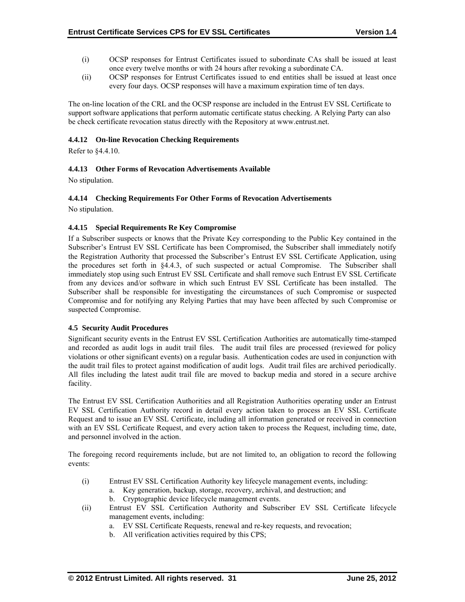- (i) OCSP responses for Entrust Certificates issued to subordinate CAs shall be issued at least once every twelve months or with 24 hours after revoking a subordinate CA.
- (ii) OCSP responses for Entrust Certificates issued to end entities shall be issued at least once every four days. OCSP responses will have a maximum expiration time of ten days.

The on-line location of the CRL and the OCSP response are included in the Entrust EV SSL Certificate to support software applications that perform automatic certificate status checking. A Relying Party can also be check certificate revocation status directly with the Repository at www.entrust.net.

#### **4.4.12 On-line Revocation Checking Requirements**

Refer to §4.4.10.

# **4.4.13 Other Forms of Revocation Advertisements Available**

No stipulation.

#### **4.4.14 Checking Requirements For Other Forms of Revocation Advertisements**

No stipulation.

#### **4.4.15 Special Requirements Re Key Compromise**

If a Subscriber suspects or knows that the Private Key corresponding to the Public Key contained in the Subscriber's Entrust EV SSL Certificate has been Compromised, the Subscriber shall immediately notify the Registration Authority that processed the Subscriber's Entrust EV SSL Certificate Application, using the procedures set forth in §4.4.3, of such suspected or actual Compromise. The Subscriber shall immediately stop using such Entrust EV SSL Certificate and shall remove such Entrust EV SSL Certificate from any devices and/or software in which such Entrust EV SSL Certificate has been installed. The Subscriber shall be responsible for investigating the circumstances of such Compromise or suspected Compromise and for notifying any Relying Parties that may have been affected by such Compromise or suspected Compromise.

#### **4.5 Security Audit Procedures**

Significant security events in the Entrust EV SSL Certification Authorities are automatically time-stamped and recorded as audit logs in audit trail files. The audit trail files are processed (reviewed for policy violations or other significant events) on a regular basis. Authentication codes are used in conjunction with the audit trail files to protect against modification of audit logs. Audit trail files are archived periodically. All files including the latest audit trail file are moved to backup media and stored in a secure archive facility.

The Entrust EV SSL Certification Authorities and all Registration Authorities operating under an Entrust EV SSL Certification Authority record in detail every action taken to process an EV SSL Certificate Request and to issue an EV SSL Certificate, including all information generated or received in connection with an EV SSL Certificate Request, and every action taken to process the Request, including time, date, and personnel involved in the action.

The foregoing record requirements include, but are not limited to, an obligation to record the following events:

- (i) Entrust EV SSL Certification Authority key lifecycle management events, including:
	- a. Key generation, backup, storage, recovery, archival, and destruction; and
	- b. Cryptographic device lifecycle management events.
- (ii) Entrust EV SSL Certification Authority and Subscriber EV SSL Certificate lifecycle management events, including:
	- a. EV SSL Certificate Requests, renewal and re-key requests, and revocation;
	- b. All verification activities required by this CPS;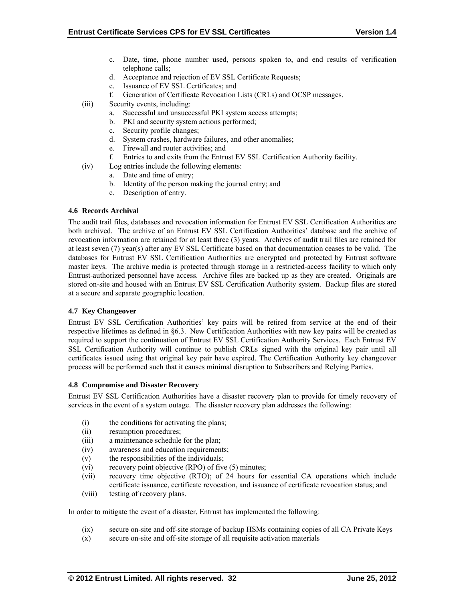- c. Date, time, phone number used, persons spoken to, and end results of verification telephone calls;
- d. Acceptance and rejection of EV SSL Certificate Requests;
- e. Issuance of EV SSL Certificates; and
- f. Generation of Certificate Revocation Lists (CRLs) and OCSP messages.
- (iii) Security events, including:
	- a. Successful and unsuccessful PKI system access attempts;
	- b. PKI and security system actions performed;
	- c. Security profile changes;
	- d. System crashes, hardware failures, and other anomalies;
	- e. Firewall and router activities; and
	- f. Entries to and exits from the Entrust EV SSL Certification Authority facility.
- (iv) Log entries include the following elements:
	- a. Date and time of entry;
	- b. Identity of the person making the journal entry; and
	- c. Description of entry.

#### **4.6 Records Archival**

The audit trail files, databases and revocation information for Entrust EV SSL Certification Authorities are both archived. The archive of an Entrust EV SSL Certification Authorities' database and the archive of revocation information are retained for at least three (3) years. Archives of audit trail files are retained for at least seven (7) year(s) after any EV SSL Certificate based on that documentation ceases to be valid. The databases for Entrust EV SSL Certification Authorities are encrypted and protected by Entrust software master keys. The archive media is protected through storage in a restricted-access facility to which only Entrust-authorized personnel have access. Archive files are backed up as they are created. Originals are stored on-site and housed with an Entrust EV SSL Certification Authority system. Backup files are stored at a secure and separate geographic location.

#### **4.7 Key Changeover**

Entrust EV SSL Certification Authorities' key pairs will be retired from service at the end of their respective lifetimes as defined in §6.3. New Certification Authorities with new key pairs will be created as required to support the continuation of Entrust EV SSL Certification Authority Services. Each Entrust EV SSL Certification Authority will continue to publish CRLs signed with the original key pair until all certificates issued using that original key pair have expired. The Certification Authority key changeover process will be performed such that it causes minimal disruption to Subscribers and Relying Parties.

#### **4.8 Compromise and Disaster Recovery**

Entrust EV SSL Certification Authorities have a disaster recovery plan to provide for timely recovery of services in the event of a system outage. The disaster recovery plan addresses the following:

- (i) the conditions for activating the plans;
- (ii) resumption procedures;
- (iii) a maintenance schedule for the plan;
- (iv) awareness and education requirements;
- (v) the responsibilities of the individuals;
- (vi) recovery point objective (RPO) of five (5) minutes;
- (vii) recovery time objective (RTO); of 24 hours for essential CA operations which include certificate issuance, certificate revocation, and issuance of certificate revocation status; and
- (viii) testing of recovery plans.

In order to mitigate the event of a disaster, Entrust has implemented the following:

- (ix) secure on-site and off-site storage of backup HSMs containing copies of all CA Private Keys
- (x) secure on-site and off-site storage of all requisite activation materials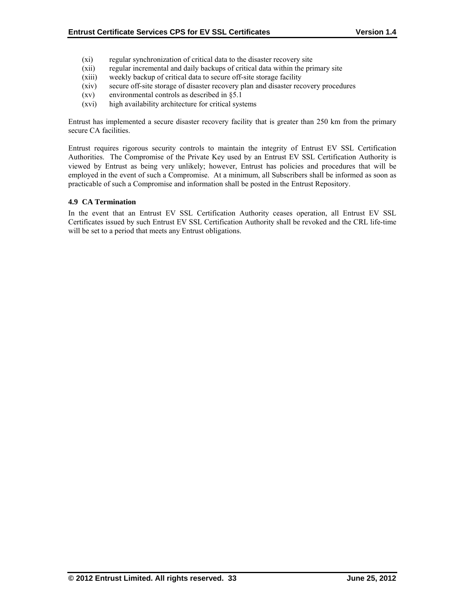- (xi) regular synchronization of critical data to the disaster recovery site
- (xii) regular incremental and daily backups of critical data within the primary site
- (xiii) weekly backup of critical data to secure off-site storage facility
- (xiv) secure off-site storage of disaster recovery plan and disaster recovery procedures
- (xv) environmental controls as described in §5.1
- (xvi) high availability architecture for critical systems

Entrust has implemented a secure disaster recovery facility that is greater than 250 km from the primary secure CA facilities.

Entrust requires rigorous security controls to maintain the integrity of Entrust EV SSL Certification Authorities. The Compromise of the Private Key used by an Entrust EV SSL Certification Authority is viewed by Entrust as being very unlikely; however, Entrust has policies and procedures that will be employed in the event of such a Compromise. At a minimum, all Subscribers shall be informed as soon as practicable of such a Compromise and information shall be posted in the Entrust Repository.

#### **4.9 CA Termination**

In the event that an Entrust EV SSL Certification Authority ceases operation, all Entrust EV SSL Certificates issued by such Entrust EV SSL Certification Authority shall be revoked and the CRL life-time will be set to a period that meets any Entrust obligations.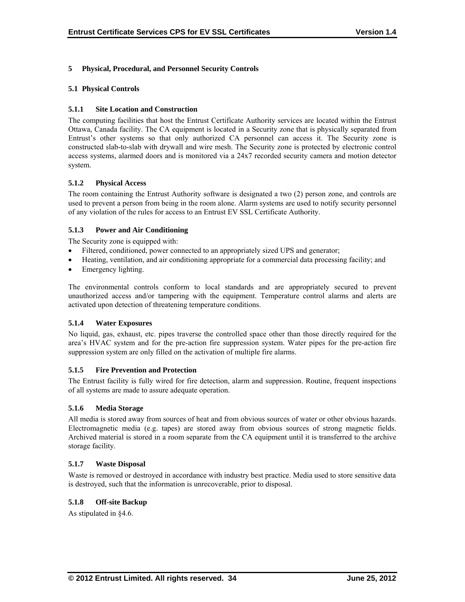# **5 Physical, Procedural, and Personnel Security Controls**

# **5.1 Physical Controls**

# **5.1.1 Site Location and Construction**

The computing facilities that host the Entrust Certificate Authority services are located within the Entrust Ottawa, Canada facility. The CA equipment is located in a Security zone that is physically separated from Entrust's other systems so that only authorized CA personnel can access it. The Security zone is constructed slab-to-slab with drywall and wire mesh. The Security zone is protected by electronic control access systems, alarmed doors and is monitored via a 24x7 recorded security camera and motion detector system.

## **5.1.2 Physical Access**

The room containing the Entrust Authority software is designated a two (2) person zone, and controls are used to prevent a person from being in the room alone. Alarm systems are used to notify security personnel of any violation of the rules for access to an Entrust EV SSL Certificate Authority.

# **5.1.3 Power and Air Conditioning**

The Security zone is equipped with:

- Filtered, conditioned, power connected to an appropriately sized UPS and generator;
- Heating, ventilation, and air conditioning appropriate for a commercial data processing facility; and
- Emergency lighting.

The environmental controls conform to local standards and are appropriately secured to prevent unauthorized access and/or tampering with the equipment. Temperature control alarms and alerts are activated upon detection of threatening temperature conditions.

#### **5.1.4 Water Exposures**

No liquid, gas, exhaust, etc. pipes traverse the controlled space other than those directly required for the area's HVAC system and for the pre-action fire suppression system. Water pipes for the pre-action fire suppression system are only filled on the activation of multiple fire alarms.

#### **5.1.5 Fire Prevention and Protection**

The Entrust facility is fully wired for fire detection, alarm and suppression. Routine, frequent inspections of all systems are made to assure adequate operation.

#### **5.1.6 Media Storage**

All media is stored away from sources of heat and from obvious sources of water or other obvious hazards. Electromagnetic media (e.g. tapes) are stored away from obvious sources of strong magnetic fields. Archived material is stored in a room separate from the CA equipment until it is transferred to the archive storage facility.

#### **5.1.7 Waste Disposal**

Waste is removed or destroyed in accordance with industry best practice. Media used to store sensitive data is destroyed, such that the information is unrecoverable, prior to disposal.

## **5.1.8 Off-site Backup**

As stipulated in §4.6.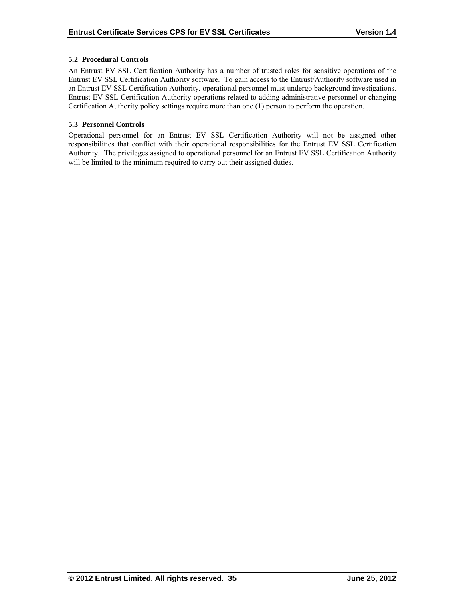# **5.2 Procedural Controls**

An Entrust EV SSL Certification Authority has a number of trusted roles for sensitive operations of the Entrust EV SSL Certification Authority software. To gain access to the Entrust/Authority software used in an Entrust EV SSL Certification Authority, operational personnel must undergo background investigations. Entrust EV SSL Certification Authority operations related to adding administrative personnel or changing Certification Authority policy settings require more than one (1) person to perform the operation.

## **5.3 Personnel Controls**

Operational personnel for an Entrust EV SSL Certification Authority will not be assigned other responsibilities that conflict with their operational responsibilities for the Entrust EV SSL Certification Authority. The privileges assigned to operational personnel for an Entrust EV SSL Certification Authority will be limited to the minimum required to carry out their assigned duties.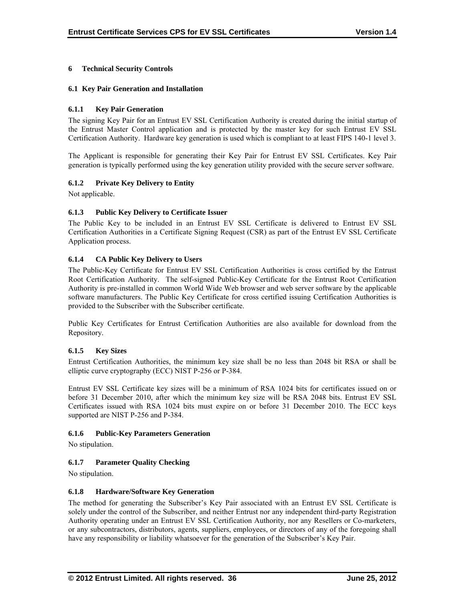# **6 Technical Security Controls**

#### **6.1 Key Pair Generation and Installation**

#### **6.1.1 Key Pair Generation**

The signing Key Pair for an Entrust EV SSL Certification Authority is created during the initial startup of the Entrust Master Control application and is protected by the master key for such Entrust EV SSL Certification Authority. Hardware key generation is used which is compliant to at least FIPS 140-1 level 3.

The Applicant is responsible for generating their Key Pair for Entrust EV SSL Certificates. Key Pair generation is typically performed using the key generation utility provided with the secure server software.

## **6.1.2 Private Key Delivery to Entity**

Not applicable.

## **6.1.3 Public Key Delivery to Certificate Issuer**

The Public Key to be included in an Entrust EV SSL Certificate is delivered to Entrust EV SSL Certification Authorities in a Certificate Signing Request (CSR) as part of the Entrust EV SSL Certificate Application process.

## **6.1.4 CA Public Key Delivery to Users**

The Public-Key Certificate for Entrust EV SSL Certification Authorities is cross certified by the Entrust Root Certification Authority. The self-signed Public-Key Certificate for the Entrust Root Certification Authority is pre-installed in common World Wide Web browser and web server software by the applicable software manufacturers. The Public Key Certificate for cross certified issuing Certification Authorities is provided to the Subscriber with the Subscriber certificate.

Public Key Certificates for Entrust Certification Authorities are also available for download from the Repository.

#### **6.1.5 Key Sizes**

Entrust Certification Authorities, the minimum key size shall be no less than 2048 bit RSA or shall be elliptic curve cryptography (ECC) NIST P-256 or P-384.

Entrust EV SSL Certificate key sizes will be a minimum of RSA 1024 bits for certificates issued on or before 31 December 2010, after which the minimum key size will be RSA 2048 bits. Entrust EV SSL Certificates issued with RSA 1024 bits must expire on or before 31 December 2010. The ECC keys supported are NIST P-256 and P-384.

#### **6.1.6 Public-Key Parameters Generation**

No stipulation.

#### **6.1.7 Parameter Quality Checking**

No stipulation.

#### **6.1.8 Hardware/Software Key Generation**

The method for generating the Subscriber's Key Pair associated with an Entrust EV SSL Certificate is solely under the control of the Subscriber, and neither Entrust nor any independent third-party Registration Authority operating under an Entrust EV SSL Certification Authority, nor any Resellers or Co-marketers, or any subcontractors, distributors, agents, suppliers, employees, or directors of any of the foregoing shall have any responsibility or liability whatsoever for the generation of the Subscriber's Key Pair.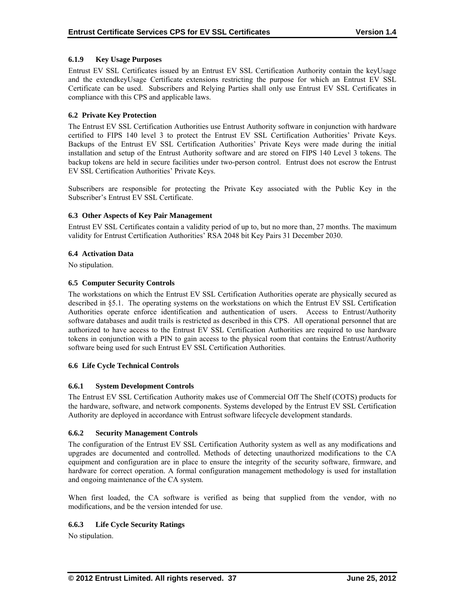## **6.1.9 Key Usage Purposes**

Entrust EV SSL Certificates issued by an Entrust EV SSL Certification Authority contain the keyUsage and the extendkeyUsage Certificate extensions restricting the purpose for which an Entrust EV SSL Certificate can be used. Subscribers and Relying Parties shall only use Entrust EV SSL Certificates in compliance with this CPS and applicable laws.

## **6.2 Private Key Protection**

The Entrust EV SSL Certification Authorities use Entrust Authority software in conjunction with hardware certified to FIPS 140 level 3 to protect the Entrust EV SSL Certification Authorities' Private Keys. Backups of the Entrust EV SSL Certification Authorities' Private Keys were made during the initial installation and setup of the Entrust Authority software and are stored on FIPS 140 Level 3 tokens. The backup tokens are held in secure facilities under two-person control. Entrust does not escrow the Entrust EV SSL Certification Authorities' Private Keys.

Subscribers are responsible for protecting the Private Key associated with the Public Key in the Subscriber's Entrust EV SSL Certificate.

## **6.3 Other Aspects of Key Pair Management**

Entrust EV SSL Certificates contain a validity period of up to, but no more than, 27 months. The maximum validity for Entrust Certification Authorities' RSA 2048 bit Key Pairs 31 December 2030.

## **6.4 Activation Data**

No stipulation.

## **6.5 Computer Security Controls**

The workstations on which the Entrust EV SSL Certification Authorities operate are physically secured as described in §5.1. The operating systems on the workstations on which the Entrust EV SSL Certification Authorities operate enforce identification and authentication of users. Access to Entrust/Authority software databases and audit trails is restricted as described in this CPS. All operational personnel that are authorized to have access to the Entrust EV SSL Certification Authorities are required to use hardware tokens in conjunction with a PIN to gain access to the physical room that contains the Entrust/Authority software being used for such Entrust EV SSL Certification Authorities.

#### **6.6 Life Cycle Technical Controls**

# **6.6.1 System Development Controls**

The Entrust EV SSL Certification Authority makes use of Commercial Off The Shelf (COTS) products for the hardware, software, and network components. Systems developed by the Entrust EV SSL Certification Authority are deployed in accordance with Entrust software lifecycle development standards.

#### **6.6.2 Security Management Controls**

The configuration of the Entrust EV SSL Certification Authority system as well as any modifications and upgrades are documented and controlled. Methods of detecting unauthorized modifications to the CA equipment and configuration are in place to ensure the integrity of the security software, firmware, and hardware for correct operation. A formal configuration management methodology is used for installation and ongoing maintenance of the CA system.

When first loaded, the CA software is verified as being that supplied from the vendor, with no modifications, and be the version intended for use.

# **6.6.3 Life Cycle Security Ratings**

No stipulation.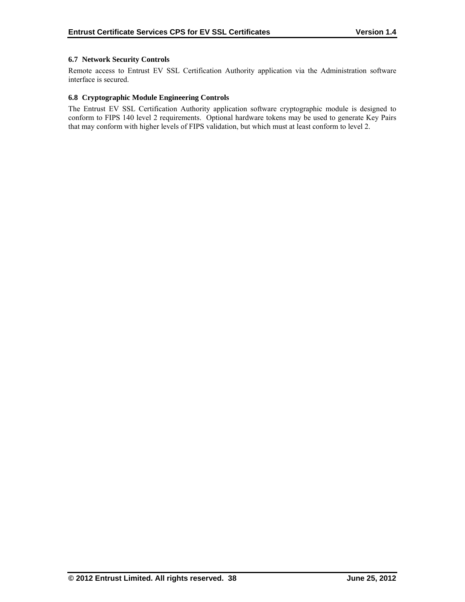# **6.7 Network Security Controls**

Remote access to Entrust EV SSL Certification Authority application via the Administration software interface is secured.

## **6.8 Cryptographic Module Engineering Controls**

The Entrust EV SSL Certification Authority application software cryptographic module is designed to conform to FIPS 140 level 2 requirements. Optional hardware tokens may be used to generate Key Pairs that may conform with higher levels of FIPS validation, but which must at least conform to level 2.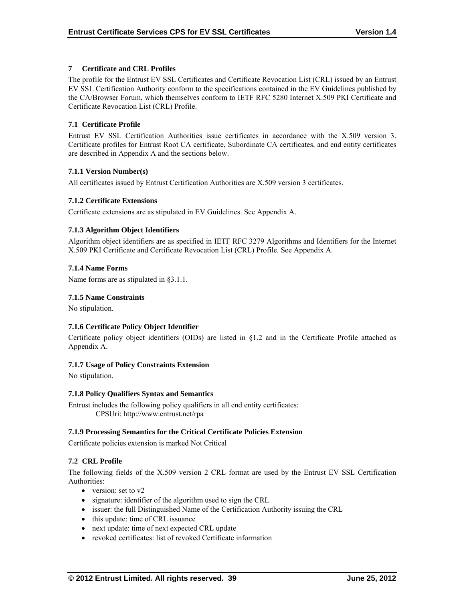# **7 Certificate and CRL Profiles**

The profile for the Entrust EV SSL Certificates and Certificate Revocation List (CRL) issued by an Entrust EV SSL Certification Authority conform to the specifications contained in the EV Guidelines published by the CA/Browser Forum, which themselves conform to IETF RFC 5280 Internet X.509 PKI Certificate and Certificate Revocation List (CRL) Profile.

# **7.1 Certificate Profile**

Entrust EV SSL Certification Authorities issue certificates in accordance with the X.509 version 3. Certificate profiles for Entrust Root CA certificate, Subordinate CA certificates, and end entity certificates are described in Appendix A and the sections below.

## **7.1.1 Version Number(s)**

All certificates issued by Entrust Certification Authorities are X.509 version 3 certificates.

## **7.1.2 Certificate Extensions**

Certificate extensions are as stipulated in EV Guidelines. See Appendix A.

## **7.1.3 Algorithm Object Identifiers**

Algorithm object identifiers are as specified in IETF RFC 3279 Algorithms and Identifiers for the Internet X.509 PKI Certificate and Certificate Revocation List (CRL) Profile. See Appendix A.

#### **7.1.4 Name Forms**

Name forms are as stipulated in §3.1.1.

#### **7.1.5 Name Constraints**

No stipulation.

# **7.1.6 Certificate Policy Object Identifier**

Certificate policy object identifiers (OIDs) are listed in §1.2 and in the Certificate Profile attached as Appendix A.

#### **7.1.7 Usage of Policy Constraints Extension**

No stipulation.

#### **7.1.8 Policy Qualifiers Syntax and Semantics**

Entrust includes the following policy qualifiers in all end entity certificates: CPSUri: http://www.entrust.net/rpa

#### **7.1.9 Processing Semantics for the Critical Certificate Policies Extension**

Certificate policies extension is marked Not Critical

# **7.2 CRL Profile**

The following fields of the X.509 version 2 CRL format are used by the Entrust EV SSL Certification Authorities:

- version: set to  $v2$
- signature: identifier of the algorithm used to sign the CRL
- issuer: the full Distinguished Name of the Certification Authority issuing the CRL
- this update: time of CRL issuance
- next update: time of next expected CRL update
- revoked certificates: list of revoked Certificate information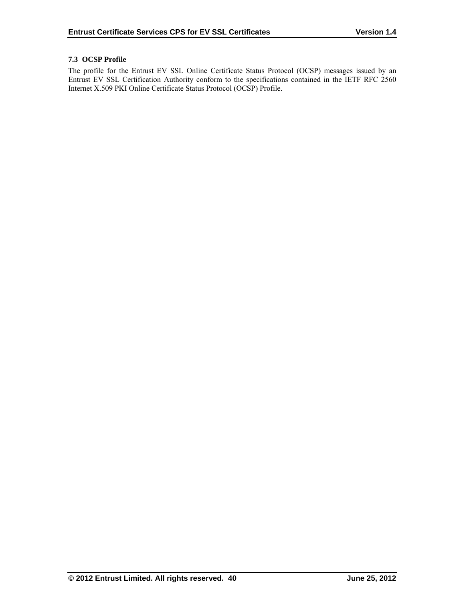# **7.3 OCSP Profile**

The profile for the Entrust EV SSL Online Certificate Status Protocol (OCSP) messages issued by an Entrust EV SSL Certification Authority conform to the specifications contained in the IETF RFC 2560 Internet X.509 PKI Online Certificate Status Protocol (OCSP) Profile.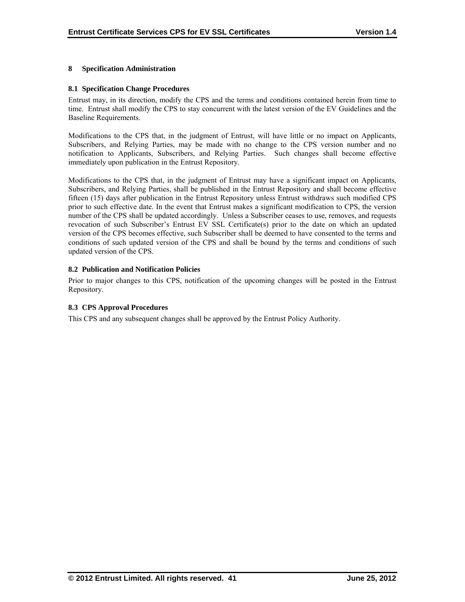## **8 Specification Administration**

#### **8.1 Specification Change Procedures**

Entrust may, in its direction, modify the CPS and the terms and conditions contained herein from time to time. Entrust shall modify the CPS to stay concurrent with the latest version of the EV Guidelines and the Baseline Requirements.

Modifications to the CPS that, in the judgment of Entrust, will have little or no impact on Applicants, Subscribers, and Relying Parties, may be made with no change to the CPS version number and no notification to Applicants, Subscribers, and Relying Parties. Such changes shall become effective immediately upon publication in the Entrust Repository.

Modifications to the CPS that, in the judgment of Entrust may have a significant impact on Applicants, Subscribers, and Relying Parties, shall be published in the Entrust Repository and shall become effective fifteen (15) days after publication in the Entrust Repository unless Entrust withdraws such modified CPS prior to such effective date. In the event that Entrust makes a significant modification to CPS, the version number of the CPS shall be updated accordingly. Unless a Subscriber ceases to use, removes, and requests revocation of such Subscriber's Entrust EV SSL Certificate(s) prior to the date on which an updated version of the CPS becomes effective, such Subscriber shall be deemed to have consented to the terms and conditions of such updated version of the CPS and shall be bound by the terms and conditions of such updated version of the CPS.

## **8.2 Publication and Notification Policies**

Prior to major changes to this CPS, notification of the upcoming changes will be posted in the Entrust Repository.

# **8.3 CPS Approval Procedures**

This CPS and any subsequent changes shall be approved by the Entrust Policy Authority.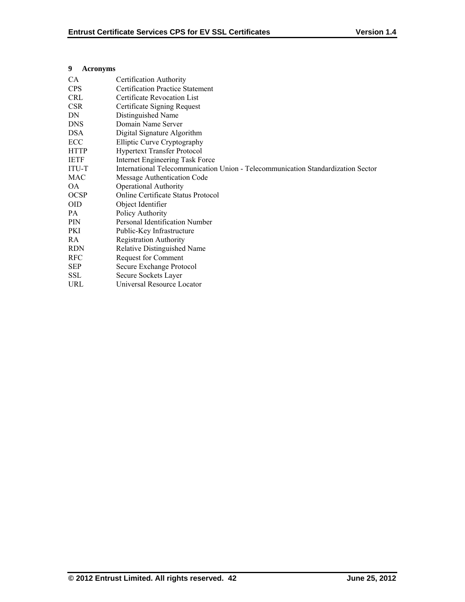## **9 Acronyms**

| <b>CA</b>    | Certification Authority                                                          |
|--------------|----------------------------------------------------------------------------------|
| <b>CPS</b>   | <b>Certification Practice Statement</b>                                          |
| <b>CRL</b>   | Certificate Revocation List                                                      |
| <b>CSR</b>   | Certificate Signing Request                                                      |
| DN           | Distinguished Name                                                               |
| <b>DNS</b>   | Domain Name Server                                                               |
| <b>DSA</b>   | Digital Signature Algorithm                                                      |
| ECC          | Elliptic Curve Cryptography                                                      |
| <b>HTTP</b>  | <b>Hypertext Transfer Protocol</b>                                               |
| <b>IETF</b>  | Internet Engineering Task Force                                                  |
| <b>ITU-T</b> | International Telecommunication Union - Telecommunication Standardization Sector |
| MAC          | Message Authentication Code                                                      |
| OA.          | <b>Operational Authority</b>                                                     |
| <b>OCSP</b>  | Online Certificate Status Protocol                                               |
| <b>OID</b>   | Object Identifier                                                                |
| PA           | Policy Authority                                                                 |
| <b>PIN</b>   | Personal Identification Number                                                   |
| PKI          | Public-Key Infrastructure                                                        |
| RA.          | <b>Registration Authority</b>                                                    |
| <b>RDN</b>   | <b>Relative Distinguished Name</b>                                               |
| <b>RFC</b>   | Request for Comment                                                              |
| <b>SEP</b>   | Secure Exchange Protocol                                                         |
| <b>SSL</b>   | Secure Sockets Layer                                                             |
| URL          | Universal Resource Locator                                                       |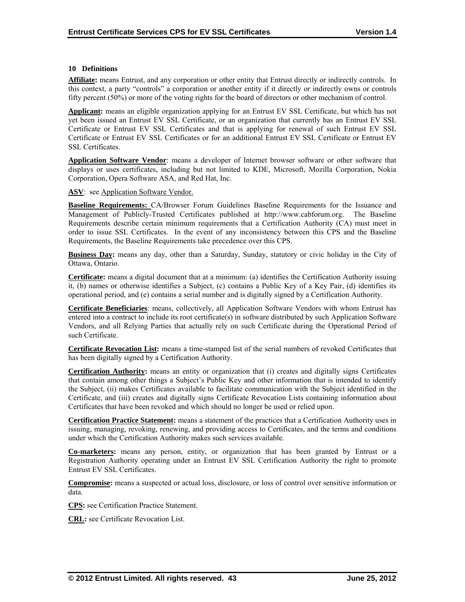## **10 Definitions**

**Affiliate:** means Entrust, and any corporation or other entity that Entrust directly or indirectly controls. In this context, a party "controls" a corporation or another entity if it directly or indirectly owns or controls fifty percent (50%) or more of the voting rights for the board of directors or other mechanism of control.

**Applicant:** means an eligible organization applying for an Entrust EV SSL Certificate, but which has not yet been issued an Entrust EV SSL Certificate, or an organization that currently has an Entrust EV SSL Certificate or Entrust EV SSL Certificates and that is applying for renewal of such Entrust EV SSL Certificate or Entrust EV SSL Certificates or for an additional Entrust EV SSL Certificate or Entrust EV SSL Certificates.

Application Software Vendor: means a developer of Internet browser software or other software that displays or uses certificates, including but not limited to KDE, Microsoft, Mozilla Corporation, Nokia Corporation, Opera Software ASA, and Red Hat, Inc.

ASV: see Application Software Vendor.

**Baseline Requirements:** CA/Browser Forum Guidelines Baseline Requirements for the Issuance and Management of Publicly-Trusted Certificates published at http://www.cabforum.org. The Baseline Requirements describe certain minimum requirements that a Certification Authority (CA) must meet in order to issue SSL Certificates. In the event of any inconsistency between this CPS and the Baseline Requirements, the Baseline Requirements take precedence over this CPS.

**Business Day:** means any day, other than a Saturday, Sunday, statutory or civic holiday in the City of Ottawa, Ontario.

**Certificate:** means a digital document that at a minimum: (a) identifies the Certification Authority issuing it, (b) names or otherwise identifies a Subject, (c) contains a Public Key of a Key Pair, (d) identifies its operational period, and (e) contains a serial number and is digitally signed by a Certification Authority.

**Certificate Beneficiaries**: means, collectively, all Application Software Vendors with whom Entrust has entered into a contract to include its root certificate(s) in software distributed by such Application Software Vendors, and all Relying Parties that actually rely on such Certificate during the Operational Period of such Certificate.

**Certificate Revocation List:** means a time-stamped list of the serial numbers of revoked Certificates that has been digitally signed by a Certification Authority.

**Certification Authority:** means an entity or organization that (i) creates and digitally signs Certificates that contain among other things a Subject's Public Key and other information that is intended to identify the Subject, (ii) makes Certificates available to facilitate communication with the Subject identified in the Certificate, and (iii) creates and digitally signs Certificate Revocation Lists containing information about Certificates that have been revoked and which should no longer be used or relied upon.

**Certification Practice Statement:** means a statement of the practices that a Certification Authority uses in issuing, managing, revoking, renewing, and providing access to Certificates, and the terms and conditions under which the Certification Authority makes such services available.

**Co-marketers:** means any person, entity, or organization that has been granted by Entrust or a Registration Authority operating under an Entrust EV SSL Certification Authority the right to promote Entrust EV SSL Certificates.

**Compromise:** means a suspected or actual loss, disclosure, or loss of control over sensitive information or data.

**CPS:** see Certification Practice Statement.

**CRL:** see Certificate Revocation List.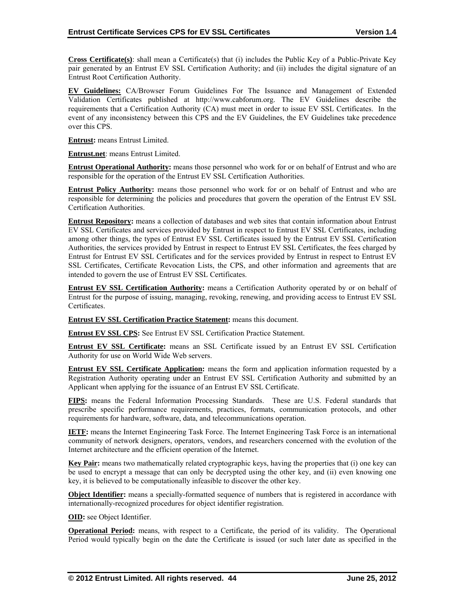**Cross Certificate(s)**: shall mean a Certificate(s) that (i) includes the Public Key of a Public-Private Key pair generated by an Entrust EV SSL Certification Authority; and (ii) includes the digital signature of an Entrust Root Certification Authority.

**EV Guidelines:** CA/Browser Forum Guidelines For The Issuance and Management of Extended Validation Certificates published at http://www.cabforum.org. The EV Guidelines describe the requirements that a Certification Authority (CA) must meet in order to issue EV SSL Certificates. In the event of any inconsistency between this CPS and the EV Guidelines, the EV Guidelines take precedence over this CPS.

**Entrust:** means Entrust Limited.

**Entrust.net**: means Entrust Limited.

**Entrust Operational Authority:** means those personnel who work for or on behalf of Entrust and who are responsible for the operation of the Entrust EV SSL Certification Authorities.

**Entrust Policy Authority:** means those personnel who work for or on behalf of Entrust and who are responsible for determining the policies and procedures that govern the operation of the Entrust EV SSL Certification Authorities.

**Entrust Repository:** means a collection of databases and web sites that contain information about Entrust EV SSL Certificates and services provided by Entrust in respect to Entrust EV SSL Certificates, including among other things, the types of Entrust EV SSL Certificates issued by the Entrust EV SSL Certification Authorities, the services provided by Entrust in respect to Entrust EV SSL Certificates, the fees charged by Entrust for Entrust EV SSL Certificates and for the services provided by Entrust in respect to Entrust EV SSL Certificates, Certificate Revocation Lists, the CPS, and other information and agreements that are intended to govern the use of Entrust EV SSL Certificates.

**Entrust EV SSL Certification Authority:** means a Certification Authority operated by or on behalf of Entrust for the purpose of issuing, managing, revoking, renewing, and providing access to Entrust EV SSL **Certificates** 

**Entrust EV SSL Certification Practice Statement:** means this document.

**Entrust EV SSL CPS:** See Entrust EV SSL Certification Practice Statement.

**Entrust EV SSL Certificate:** means an SSL Certificate issued by an Entrust EV SSL Certification Authority for use on World Wide Web servers.

**Entrust EV SSL Certificate Application:** means the form and application information requested by a Registration Authority operating under an Entrust EV SSL Certification Authority and submitted by an Applicant when applying for the issuance of an Entrust EV SSL Certificate.

**FIPS:** means the Federal Information Processing Standards. These are U.S. Federal standards that prescribe specific performance requirements, practices, formats, communication protocols, and other requirements for hardware, software, data, and telecommunications operation.

**IETF:** means the Internet Engineering Task Force. The Internet Engineering Task Force is an international community of network designers, operators, vendors, and researchers concerned with the evolution of the Internet architecture and the efficient operation of the Internet.

**Key Pair:** means two mathematically related cryptographic keys, having the properties that (i) one key can be used to encrypt a message that can only be decrypted using the other key, and (ii) even knowing one key, it is believed to be computationally infeasible to discover the other key.

**Object Identifier:** means a specially-formatted sequence of numbers that is registered in accordance with internationally-recognized procedures for object identifier registration.

**OID:** see Object Identifier.

**Operational Period:** means, with respect to a Certificate, the period of its validity. The Operational Period would typically begin on the date the Certificate is issued (or such later date as specified in the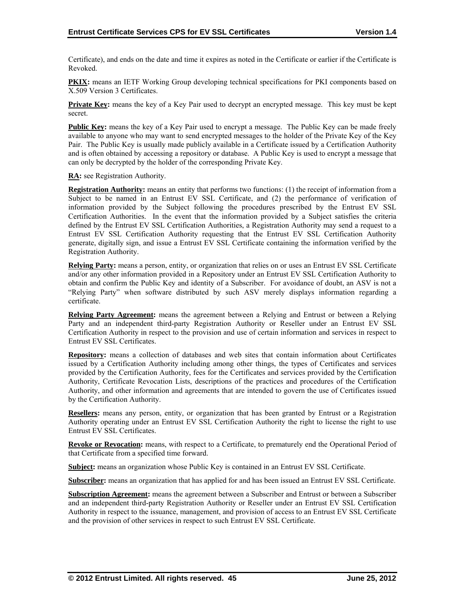Certificate), and ends on the date and time it expires as noted in the Certificate or earlier if the Certificate is Revoked.

**PKIX:** means an IETF Working Group developing technical specifications for PKI components based on X.509 Version 3 Certificates.

**Private Key:** means the key of a Key Pair used to decrypt an encrypted message. This key must be kept secret.

**Public Key:** means the key of a Key Pair used to encrypt a message. The Public Key can be made freely available to anyone who may want to send encrypted messages to the holder of the Private Key of the Key Pair. The Public Key is usually made publicly available in a Certificate issued by a Certification Authority and is often obtained by accessing a repository or database. A Public Key is used to encrypt a message that can only be decrypted by the holder of the corresponding Private Key.

**RA:** see Registration Authority.

**Registration Authority:** means an entity that performs two functions: (1) the receipt of information from a Subject to be named in an Entrust EV SSL Certificate, and (2) the performance of verification of information provided by the Subject following the procedures prescribed by the Entrust EV SSL Certification Authorities. In the event that the information provided by a Subject satisfies the criteria defined by the Entrust EV SSL Certification Authorities, a Registration Authority may send a request to a Entrust EV SSL Certification Authority requesting that the Entrust EV SSL Certification Authority generate, digitally sign, and issue a Entrust EV SSL Certificate containing the information verified by the Registration Authority.

**Relying Party:** means a person, entity, or organization that relies on or uses an Entrust EV SSL Certificate and/or any other information provided in a Repository under an Entrust EV SSL Certification Authority to obtain and confirm the Public Key and identity of a Subscriber. For avoidance of doubt, an ASV is not a "Relying Party" when software distributed by such ASV merely displays information regarding a certificate.

**Relying Party Agreement:** means the agreement between a Relying and Entrust or between a Relying Party and an independent third-party Registration Authority or Reseller under an Entrust EV SSL Certification Authority in respect to the provision and use of certain information and services in respect to Entrust EV SSL Certificates.

**Repository:** means a collection of databases and web sites that contain information about Certificates issued by a Certification Authority including among other things, the types of Certificates and services provided by the Certification Authority, fees for the Certificates and services provided by the Certification Authority, Certificate Revocation Lists, descriptions of the practices and procedures of the Certification Authority, and other information and agreements that are intended to govern the use of Certificates issued by the Certification Authority.

**Resellers:** means any person, entity, or organization that has been granted by Entrust or a Registration Authority operating under an Entrust EV SSL Certification Authority the right to license the right to use Entrust EV SSL Certificates.

**Revoke or Revocation:** means, with respect to a Certificate, to prematurely end the Operational Period of that Certificate from a specified time forward.

**Subject:** means an organization whose Public Key is contained in an Entrust EV SSL Certificate.

**Subscriber:** means an organization that has applied for and has been issued an Entrust EV SSL Certificate.

**Subscription Agreement:** means the agreement between a Subscriber and Entrust or between a Subscriber and an independent third-party Registration Authority or Reseller under an Entrust EV SSL Certification Authority in respect to the issuance, management, and provision of access to an Entrust EV SSL Certificate and the provision of other services in respect to such Entrust EV SSL Certificate.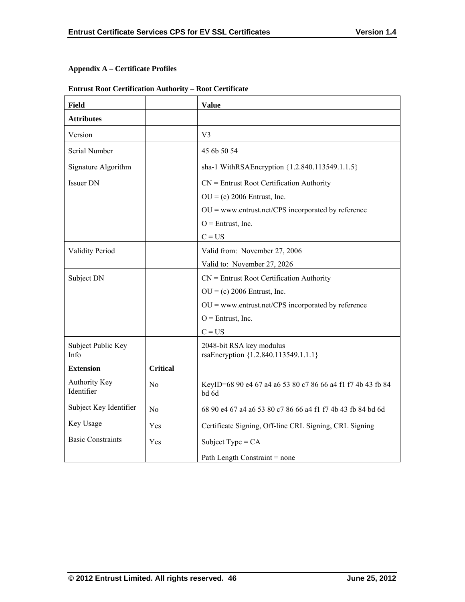# **Appendix A – Certificate Profiles**

# **Entrust Root Certification Authority – Root Certificate**

| <b>Field</b>                |                 | <b>Value</b>                                                         |
|-----------------------------|-----------------|----------------------------------------------------------------------|
| <b>Attributes</b>           |                 |                                                                      |
| Version                     |                 | V <sub>3</sub>                                                       |
| Serial Number               |                 | 45 6b 50 54                                                          |
| Signature Algorithm         |                 | sha-1 WithRSAEncryption {1.2.840.113549.1.1.5}                       |
| <b>Issuer DN</b>            |                 | $CN =$ Entrust Root Certification Authority                          |
|                             |                 | $OU = (c) 2006$ Entrust, Inc.                                        |
|                             |                 | $OU =$ www.entrust.net/CPS incorporated by reference                 |
|                             |                 | $O =$ Entrust, Inc.                                                  |
|                             |                 | $C = US$                                                             |
| <b>Validity Period</b>      |                 | Valid from: November 27, 2006                                        |
|                             |                 | Valid to: November 27, 2026                                          |
| Subject DN                  |                 | $CN =$ Entrust Root Certification Authority                          |
|                             |                 | $OU = (c) 2006$ Entrust, Inc.                                        |
|                             |                 | $OU =$ www.entrust.net/CPS incorporated by reference                 |
|                             |                 | $O =$ Entrust, Inc.                                                  |
|                             |                 | $C = US$                                                             |
| Subject Public Key<br>Info  |                 | 2048-bit RSA key modulus<br>rsaEncryption {1.2.840.113549.1.1.1}     |
| <b>Extension</b>            | <b>Critical</b> |                                                                      |
| Authority Key<br>Identifier | N <sub>0</sub>  | KeyID=68 90 e4 67 a4 a6 53 80 c7 86 66 a4 f1 f7 4b 43 fb 84<br>bd 6d |
| Subject Key Identifier      | No              | 68 90 e4 67 a4 a6 53 80 c7 86 66 a4 f1 f7 4b 43 fb 84 bd 6d          |
| Key Usage                   | Yes             | Certificate Signing, Off-line CRL Signing, CRL Signing               |
| <b>Basic Constraints</b>    | Yes             | Subject Type = $CA$                                                  |
|                             |                 | Path Length Constraint = none                                        |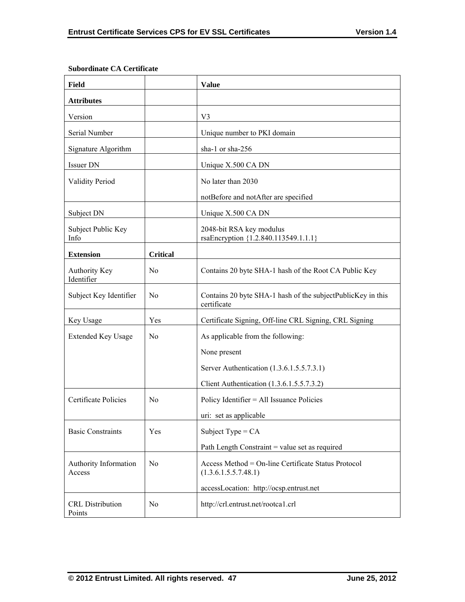| <b>Field</b>                       |                 | <b>Value</b>                                                                |
|------------------------------------|-----------------|-----------------------------------------------------------------------------|
| <b>Attributes</b>                  |                 |                                                                             |
| Version                            |                 | V <sub>3</sub>                                                              |
| Serial Number                      |                 | Unique number to PKI domain                                                 |
| Signature Algorithm                |                 | sha-1 or sha-256                                                            |
| Issuer DN                          |                 | Unique X.500 CA DN                                                          |
| <b>Validity Period</b>             |                 | No later than 2030                                                          |
|                                    |                 | notBefore and notAfter are specified                                        |
| Subject DN                         |                 | Unique X.500 CA DN                                                          |
| Subject Public Key<br>Info         |                 | 2048-bit RSA key modulus<br>rsaEncryption {1.2.840.113549.1.1.1}            |
| <b>Extension</b>                   | <b>Critical</b> |                                                                             |
| <b>Authority Key</b><br>Identifier | N <sub>0</sub>  | Contains 20 byte SHA-1 hash of the Root CA Public Key                       |
| Subject Key Identifier             | N <sub>0</sub>  | Contains 20 byte SHA-1 hash of the subjectPublicKey in this<br>certificate  |
| Key Usage                          | Yes             | Certificate Signing, Off-line CRL Signing, CRL Signing                      |
| <b>Extended Key Usage</b>          | N <sub>0</sub>  | As applicable from the following:                                           |
|                                    |                 | None present                                                                |
|                                    |                 | Server Authentication (1.3.6.1.5.5.7.3.1)                                   |
|                                    |                 | Client Authentication (1.3.6.1.5.5.7.3.2)                                   |
| Certificate Policies               | N <sub>0</sub>  | Policy Identifier = All Issuance Policies                                   |
|                                    |                 | uri: set as applicable                                                      |
| <b>Basic Constraints</b>           | Yes             | Subject Type = $CA$                                                         |
|                                    |                 | Path Length Constraint = value set as required                              |
| Authority Information<br>Access    | No              | Access Method = On-line Certificate Status Protocol<br>(1.3.6.1.5.5.7.48.1) |
|                                    |                 | accessLocation: http://ocsp.entrust.net                                     |
| <b>CRL</b> Distribution<br>Points  | N <sub>o</sub>  | http://crl.entrust.net/rootca1.crl                                          |

## **Subordinate CA Certificate**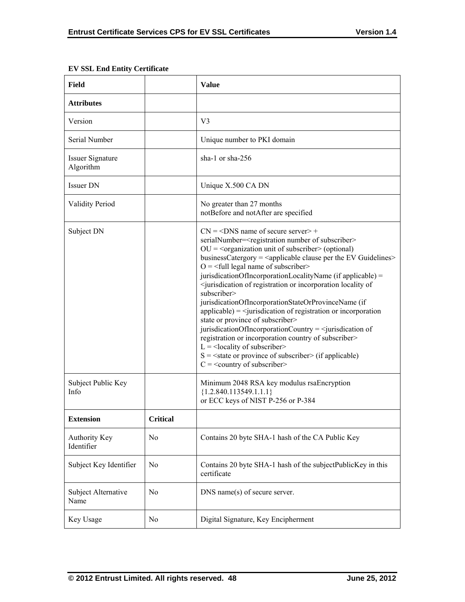T

| Field                                |                 | <b>Value</b>                                                                                                                                                                                                                                                                                                                                                                                                                                                                                                                                                                                                                                                                                                                                                                                                                                                                                                                                                                                                                                                                                  |
|--------------------------------------|-----------------|-----------------------------------------------------------------------------------------------------------------------------------------------------------------------------------------------------------------------------------------------------------------------------------------------------------------------------------------------------------------------------------------------------------------------------------------------------------------------------------------------------------------------------------------------------------------------------------------------------------------------------------------------------------------------------------------------------------------------------------------------------------------------------------------------------------------------------------------------------------------------------------------------------------------------------------------------------------------------------------------------------------------------------------------------------------------------------------------------|
| <b>Attributes</b>                    |                 |                                                                                                                                                                                                                                                                                                                                                                                                                                                                                                                                                                                                                                                                                                                                                                                                                                                                                                                                                                                                                                                                                               |
| Version                              |                 | V <sub>3</sub>                                                                                                                                                                                                                                                                                                                                                                                                                                                                                                                                                                                                                                                                                                                                                                                                                                                                                                                                                                                                                                                                                |
| Serial Number                        |                 | Unique number to PKI domain                                                                                                                                                                                                                                                                                                                                                                                                                                                                                                                                                                                                                                                                                                                                                                                                                                                                                                                                                                                                                                                                   |
| <b>Issuer Signature</b><br>Algorithm |                 | sha-1 or sha- $256$                                                                                                                                                                                                                                                                                                                                                                                                                                                                                                                                                                                                                                                                                                                                                                                                                                                                                                                                                                                                                                                                           |
| <b>Issuer DN</b>                     |                 | Unique X.500 CA DN                                                                                                                                                                                                                                                                                                                                                                                                                                                                                                                                                                                                                                                                                                                                                                                                                                                                                                                                                                                                                                                                            |
| <b>Validity Period</b>               |                 | No greater than 27 months<br>notBefore and notAfter are specified                                                                                                                                                                                                                                                                                                                                                                                                                                                                                                                                                                                                                                                                                                                                                                                                                                                                                                                                                                                                                             |
| Subject DN                           |                 | $CN = <$ DNS name of secure server > +<br>serialNumber= <registration number="" of="" subscriber=""><br/><math>OU = organization</math> unit of subscriber <math>&gt;</math> (optional)<br/>businessCatergory = <applicable clause="" ev="" guidelines="" per="" the=""><br/><math>O = \frac{1}{2}</math> legal name of subscriber<br/>jurisdicationOfIncorporationLocalityName (if applicable) =<br/><jurisdication incorporation="" locality="" of="" of<br="" or="" registration="">subscriber&gt;<br/>jurisdicationOfIncorporationStateOrProvinceName (if<br/><math>applicable</math> = <math>\langle</math> jurisdication of registration or incorporation<br/>state or province of subscriber&gt;<br/>jurisdicationOfIncorporationCountry = <math>\le</math>jurisdication of<br/>registration or incorporation country of subscriber&gt;<br/><math>L =</math> <locality of="" subscriber=""><br/><math>S = \text{state}</math> or province of subscriber&gt; (if applicable)<br/><math>C =</math> &lt; country of subscriber&gt;</locality></jurisdication></applicable></registration> |
| Subject Public Key<br>Info           |                 | Minimum 2048 RSA key modulus rsaEncryption<br>${1.2.840.113549.1.1.1}$<br>or ECC keys of NIST P-256 or P-384                                                                                                                                                                                                                                                                                                                                                                                                                                                                                                                                                                                                                                                                                                                                                                                                                                                                                                                                                                                  |
| <b>Extension</b>                     | <b>Critical</b> |                                                                                                                                                                                                                                                                                                                                                                                                                                                                                                                                                                                                                                                                                                                                                                                                                                                                                                                                                                                                                                                                                               |
| Authority Key<br>Identifier          | N <sub>0</sub>  | Contains 20 byte SHA-1 hash of the CA Public Key                                                                                                                                                                                                                                                                                                                                                                                                                                                                                                                                                                                                                                                                                                                                                                                                                                                                                                                                                                                                                                              |
| Subject Key Identifier               | No              | Contains 20 byte SHA-1 hash of the subjectPublicKey in this<br>certificate                                                                                                                                                                                                                                                                                                                                                                                                                                                                                                                                                                                                                                                                                                                                                                                                                                                                                                                                                                                                                    |
| Subject Alternative<br>Name          | N <sub>0</sub>  | DNS name(s) of secure server.                                                                                                                                                                                                                                                                                                                                                                                                                                                                                                                                                                                                                                                                                                                                                                                                                                                                                                                                                                                                                                                                 |
| Key Usage                            | No              | Digital Signature, Key Encipherment                                                                                                                                                                                                                                                                                                                                                                                                                                                                                                                                                                                                                                                                                                                                                                                                                                                                                                                                                                                                                                                           |

# **EV SSL End Entity Certificate**

 $\Gamma$